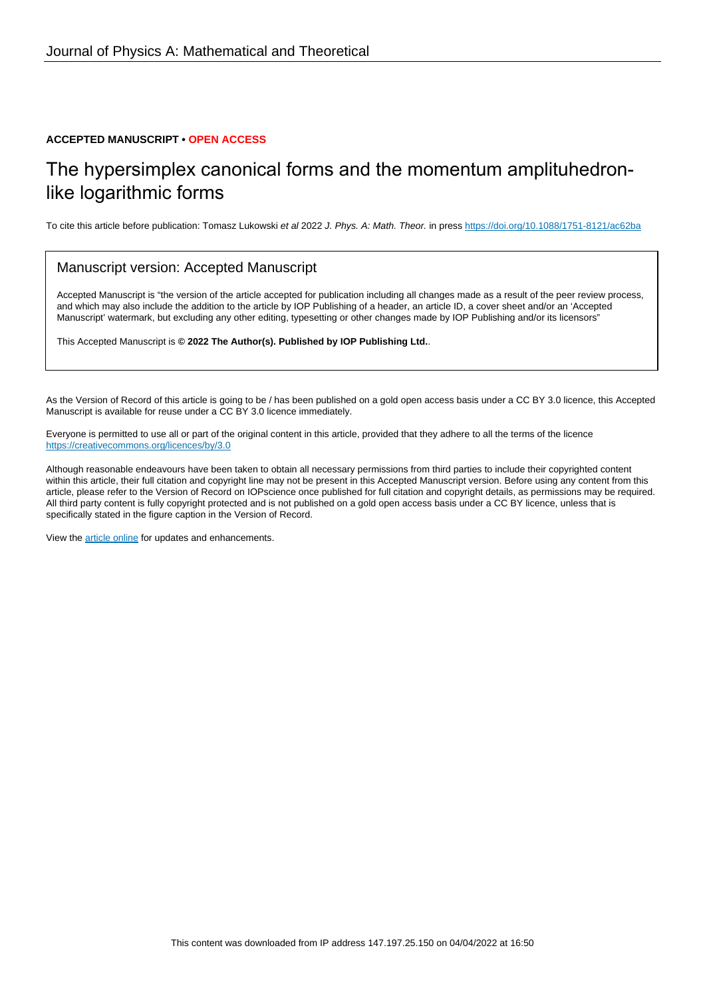## **ACCEPTED MANUSCRIPT • OPEN ACCESS**

## The hypersimplex canonical forms and the momentum amplituhedronlike logarithmic forms

To cite this article before publication: Tomasz Lukowski et al 2022 J. Phys. A: Math. Theor. in press <https://doi.org/10.1088/1751-8121/ac62ba>

## Manuscript version: Accepted Manuscript

Accepted Manuscript is "the version of the article accepted for publication including all changes made as a result of the peer review process, and which may also include the addition to the article by IOP Publishing of a header, an article ID, a cover sheet and/or an 'Accepted Manuscript' watermark, but excluding any other editing, typesetting or other changes made by IOP Publishing and/or its licensors"

This Accepted Manuscript is **© 2022 The Author(s). Published by IOP Publishing Ltd.**.

As the Version of Record of this article is going to be / has been published on a gold open access basis under a CC BY 3.0 licence, this Accepted Manuscript is available for reuse under a CC BY 3.0 licence immediately.

Everyone is permitted to use all or part of the original content in this article, provided that they adhere to all the terms of the licence <https://creativecommons.org/licences/by/3.0>

Although reasonable endeavours have been taken to obtain all necessary permissions from third parties to include their copyrighted content within this article, their full citation and copyright line may not be present in this Accepted Manuscript version. Before using any content from this article, please refer to the Version of Record on IOPscience once published for full citation and copyright details, as permissions may be required. All third party content is fully copyright protected and is not published on a gold open access basis under a CC BY licence, unless that is specifically stated in the figure caption in the Version of Record.

View the [article online](https://doi.org/10.1088/1751-8121/ac62ba) for updates and enhancements.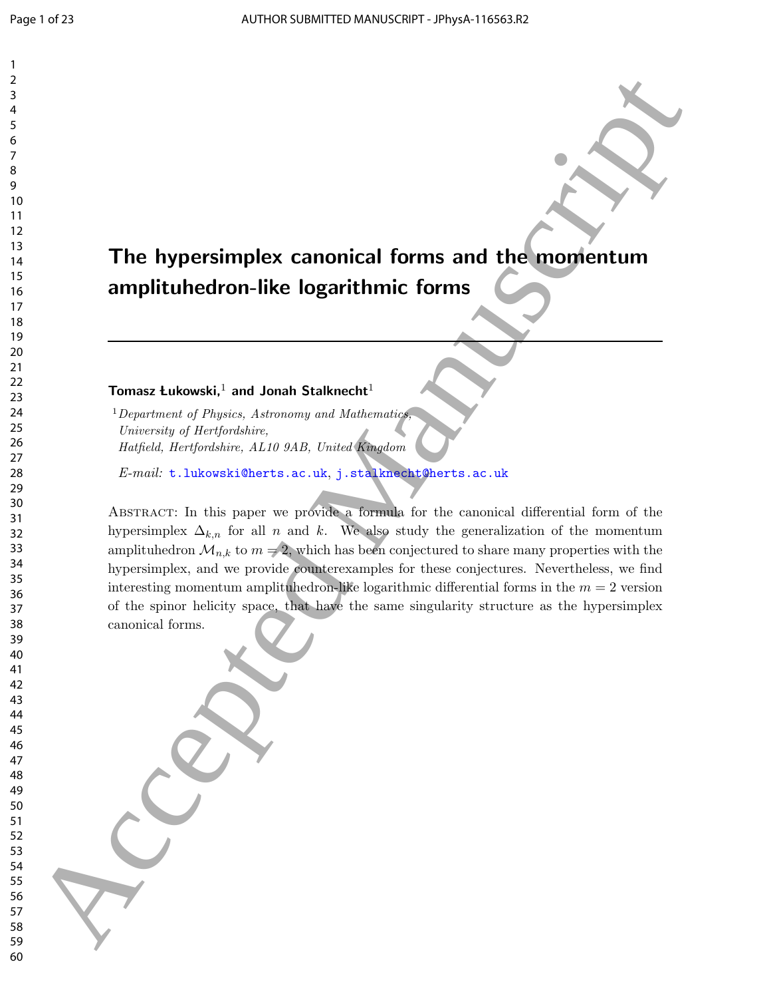# The hypersimplex canonical forms and the momentum amplituhedron-like logarithmic forms

## Tomasz Łukowski, $^1$  and Jonah Stalknecht<sup>1</sup>

<sup>1</sup>Department of Physics, Astronomy and Mathematics, University of Hertfordshire, Hatfield, Hertfordshire, AL10 9AB, United Kingdom

E-mail: t.lukowski@herts.ac.uk, j.stalknecht@herts.ac.uk

Abstract: In this paper we provide a formula for the canonical differential form of the hypersimplex  $\Delta_{k,n}$  for all n and k. We also study the generalization of the momentum amplituhedron  $\mathcal{M}_{n,k}$  to  $m = 2$ , which has been conjectured to share many properties with the hypersimplex, and we provide counterexamples for these conjectures. Nevertheless, we find interesting momentum amplituhedron-like logarithmic differential forms in the  $m = 2$  version of the spinor helicity space, that have the same singularity structure as the hypersimplex canonical forms. The hypersimplex canonical forms and the momentum<br>  $\frac{1}{10}$ <br>  $\frac{1}{10}$ <br>  $\frac{1}{10}$ <br>  $\frac{1}{10}$ <br>  $\frac{1}{10}$ <br>  $\frac{1}{10}$ <br>  $\frac{1}{10}$ <br>  $\frac{1}{10}$ <br>  $\frac{1}{10}$ <br>  $\frac{1}{10}$ <br>  $\frac{1}{10}$ <br>  $\frac{1}{10}$ <br>  $\frac{1}{10}$ <br>  $\frac{1}{10}$ <br>  $\$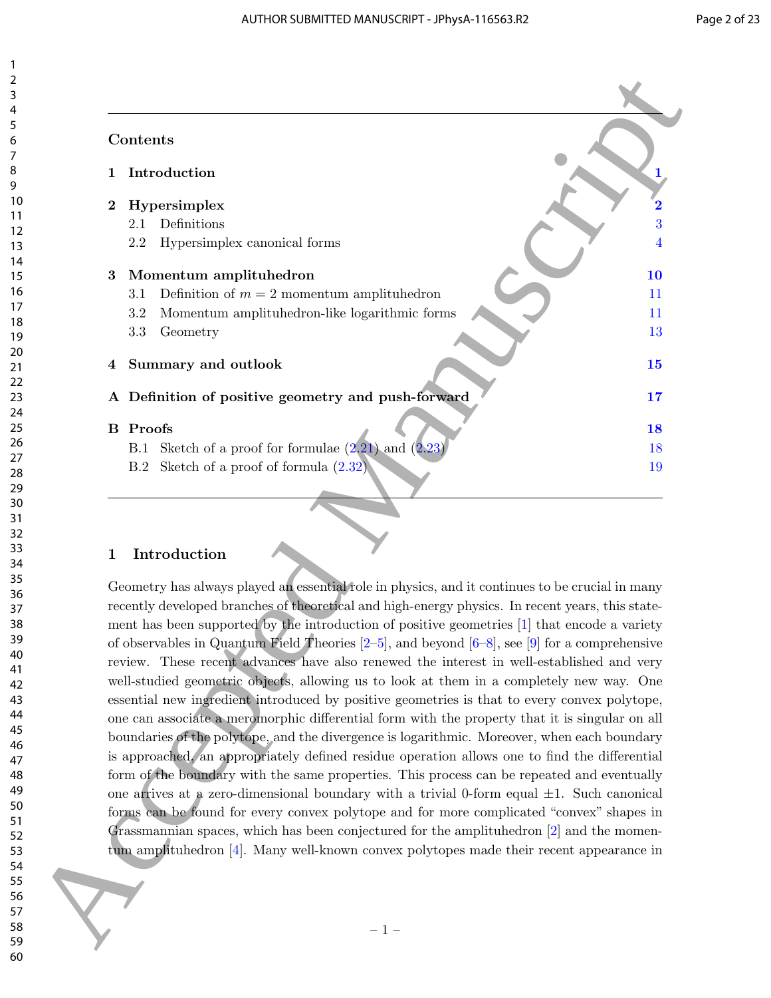| Contents        |                                                                                                                                                                                                                                                                                                                                                                                                                                                                                                                                                                                                                                                                                                                                                                                                                                                                                              |  |
|-----------------|----------------------------------------------------------------------------------------------------------------------------------------------------------------------------------------------------------------------------------------------------------------------------------------------------------------------------------------------------------------------------------------------------------------------------------------------------------------------------------------------------------------------------------------------------------------------------------------------------------------------------------------------------------------------------------------------------------------------------------------------------------------------------------------------------------------------------------------------------------------------------------------------|--|
|                 |                                                                                                                                                                                                                                                                                                                                                                                                                                                                                                                                                                                                                                                                                                                                                                                                                                                                                              |  |
|                 | Introduction                                                                                                                                                                                                                                                                                                                                                                                                                                                                                                                                                                                                                                                                                                                                                                                                                                                                                 |  |
| $\bf{2}$        | Hypersimplex                                                                                                                                                                                                                                                                                                                                                                                                                                                                                                                                                                                                                                                                                                                                                                                                                                                                                 |  |
| 2.1             | Definitions                                                                                                                                                                                                                                                                                                                                                                                                                                                                                                                                                                                                                                                                                                                                                                                                                                                                                  |  |
| 2.2             | Hypersimplex canonical forms                                                                                                                                                                                                                                                                                                                                                                                                                                                                                                                                                                                                                                                                                                                                                                                                                                                                 |  |
| 3               | Momentum amplituhedron                                                                                                                                                                                                                                                                                                                                                                                                                                                                                                                                                                                                                                                                                                                                                                                                                                                                       |  |
| 3.1             | Definition of $m = 2$ momentum amplituhedron                                                                                                                                                                                                                                                                                                                                                                                                                                                                                                                                                                                                                                                                                                                                                                                                                                                 |  |
| 3.2             | Momentum amplituhedron-like logarithmic forms                                                                                                                                                                                                                                                                                                                                                                                                                                                                                                                                                                                                                                                                                                                                                                                                                                                |  |
| 3.3             | Geometry                                                                                                                                                                                                                                                                                                                                                                                                                                                                                                                                                                                                                                                                                                                                                                                                                                                                                     |  |
| 4               | Summary and outlook                                                                                                                                                                                                                                                                                                                                                                                                                                                                                                                                                                                                                                                                                                                                                                                                                                                                          |  |
|                 |                                                                                                                                                                                                                                                                                                                                                                                                                                                                                                                                                                                                                                                                                                                                                                                                                                                                                              |  |
|                 | A Definition of positive geometry and push-forward                                                                                                                                                                                                                                                                                                                                                                                                                                                                                                                                                                                                                                                                                                                                                                                                                                           |  |
| <b>B</b> Proofs |                                                                                                                                                                                                                                                                                                                                                                                                                                                                                                                                                                                                                                                                                                                                                                                                                                                                                              |  |
| B.1             | Sketch of a proof for formulae $(2.21)$ and $(2.23)$                                                                                                                                                                                                                                                                                                                                                                                                                                                                                                                                                                                                                                                                                                                                                                                                                                         |  |
| B.2             | Sketch of a proof of formula $(2.32)$                                                                                                                                                                                                                                                                                                                                                                                                                                                                                                                                                                                                                                                                                                                                                                                                                                                        |  |
|                 |                                                                                                                                                                                                                                                                                                                                                                                                                                                                                                                                                                                                                                                                                                                                                                                                                                                                                              |  |
|                 | Geometry has always played an essential role in physics, and it continues to be crucial in many<br>recently developed branches of theoretical and high-energy physics. In recent years, this state-                                                                                                                                                                                                                                                                                                                                                                                                                                                                                                                                                                                                                                                                                          |  |
|                 | ment has been supported by the introduction of positive geometries [1] that encode a variety<br>of observables in Quantum Field Theories $[2-5]$ , and beyond $[6-8]$ , see [9] for a comprehensive<br>review. These recent advances have also renewed the interest in well-established and very<br>well-studied geometric objects, allowing us to look at them in a completely new way. One<br>essential new ingredient introduced by positive geometries is that to every convex polytope,<br>one can associate a meromorphic differential form with the property that it is singular on all<br>boundaries of the polytope, and the divergence is logarithmic. Moreover, when each boundary<br>is approached, an appropriately defined residue operation allows one to find the differential<br>form of the boundary with the same properties. This process can be repeated and eventually |  |
|                 | one arrives at a zero-dimensional boundary with a trivial 0-form equal $\pm 1$ . Such canonical<br>forms can be found for every convex polytope and for more complicated "convex" shapes in<br>Grassmannian spaces, which has been conjectured for the amplituhedron $[2]$ and the momen-<br>tum amplituhedron [4]. Many well-known convex polytopes made their recent appearance in                                                                                                                                                                                                                                                                                                                                                                                                                                                                                                         |  |

## 1 Introduction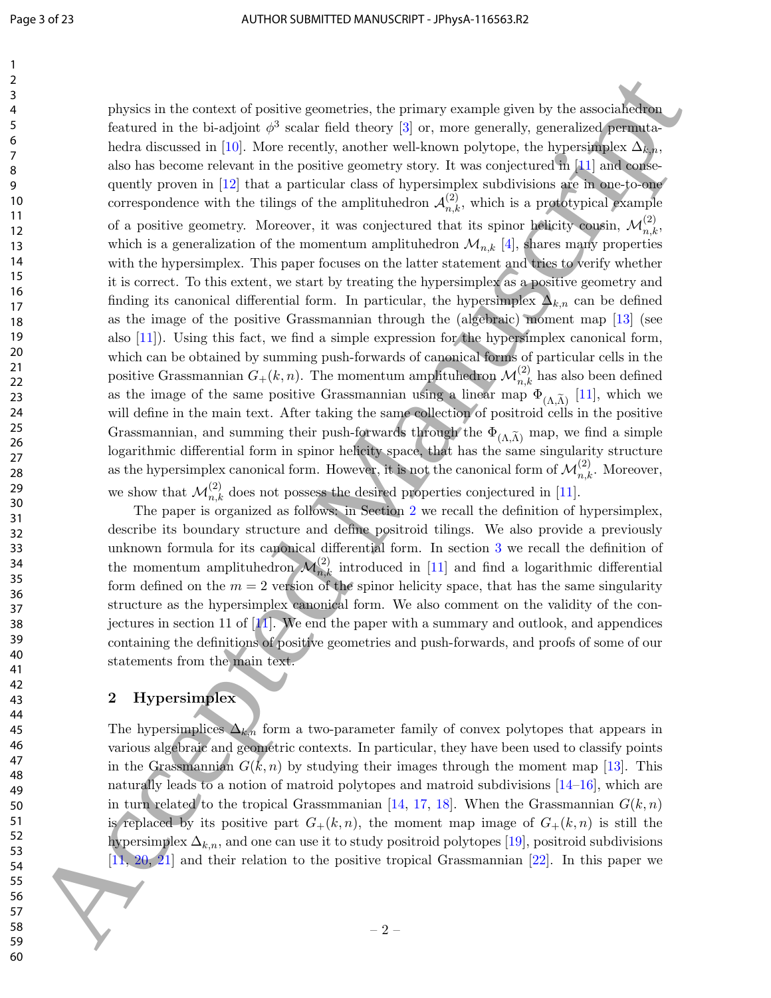physics in the context of positive geometries, the primary example given by the associahedron featured in the bi-adjoint  $\phi^3$  scalar field theory [3] or, more generally, generalized permutahedra discussed in [10]. More recently, another well-known polytope, the hypersimplex  $\Delta_{k,n}$ , also has become relevant in the positive geometry story. It was conjectured in [11] and consequently proven in [12] that a particular class of hypersimplex subdivisions are in one-to-one correspondence with the tilings of the amplituhedron  $\mathcal{A}_{n,k}^{(2)}$ , which is a prototypical example of a positive geometry. Moreover, it was conjectured that its spinor helicity cousin,  $\mathcal{M}_{n,k}^{(2)}$ , which is a generalization of the momentum amplituhedron  $\mathcal{M}_{n,k}$  [4], shares many properties with the hypersimplex. This paper focuses on the latter statement and tries to verify whether it is correct. To this extent, we start by treating the hypersimplex as a positive geometry and finding its canonical differential form. In particular, the hypersimplex  $\Delta_{k,n}$  can be defined as the image of the positive Grassmannian through the (algebraic) moment map [13] (see also [11]). Using this fact, we find a simple expression for the hypersimplex canonical form, which can be obtained by summing push-forwards of canonical forms of particular cells in the positive Grassmannian  $G_{+}(k, n)$ . The momentum amplituhedron  $\mathcal{M}_{n,k}^{(2)}$  has also been defined as the image of the same positive Grassmannian using a linear map  $\Phi_{(\Lambda,\tilde{\Lambda})}$  [11], which we will define in the main text. After taking the same collection of positroid cells in the positive Grassmannian, and summing their push-forwards through the  $\Phi_{(\Lambda,\tilde{\Lambda})}$  map, we find a simple logarithmic differential form in spinor helicity space, that has the same singularity structure as the hypersimplex canonical form. However, it is not the canonical form of  $\mathcal{M}_{n,k}^{(2)}$ . Moreover, we show that  $\mathcal{M}_{n,k}^{(2)}$  does not possess the desired properties conjectured in [11]. 24<br>
24<br>
25 Access the first state of the base of the first system of the consistency of the consistency of the first since and<br>
26 Access the first since and the first system was considered for the system of<br>
16 Access th

The paper is organized as follows: in Section 2 we recall the definition of hypersimplex, describe its boundary structure and define positroid tilings. We also provide a previously unknown formula for its canonical differential form. In section 3 we recall the definition of the momentum amplituhedron  $\mathcal{M}_{n,k}^{(2)}$  introduced in [11] and find a logarithmic differential form defined on the  $m = 2$  version of the spinor helicity space, that has the same singularity structure as the hypersimplex canonical form. We also comment on the validity of the conjectures in section 11 of [11]. We end the paper with a summary and outlook, and appendices containing the definitions of positive geometries and push-forwards, and proofs of some of our statements from the main text.

## 2 Hypersimplex

The hypersimplices  $\Delta_{k,n}$  form a two-parameter family of convex polytopes that appears in various algebraic and geometric contexts. In particular, they have been used to classify points in the Grassmannian  $G(k, n)$  by studying their images through the moment map [13]. This naturally leads to a notion of matroid polytopes and matroid subdivisions  $[14-16]$ , which are in turn related to the tropical Grassmmanian [14, 17, 18]. When the Grassmannian  $G(k, n)$ is replaced by its positive part  $G_+(k,n)$ , the moment map image of  $G_+(k,n)$  is still the hypersimplex  $\Delta_{k,n}$ , and one can use it to study positroid polytopes [19], positroid subdivisions [11, 20, 21] and their relation to the positive tropical Grassmannian [22]. In this paper we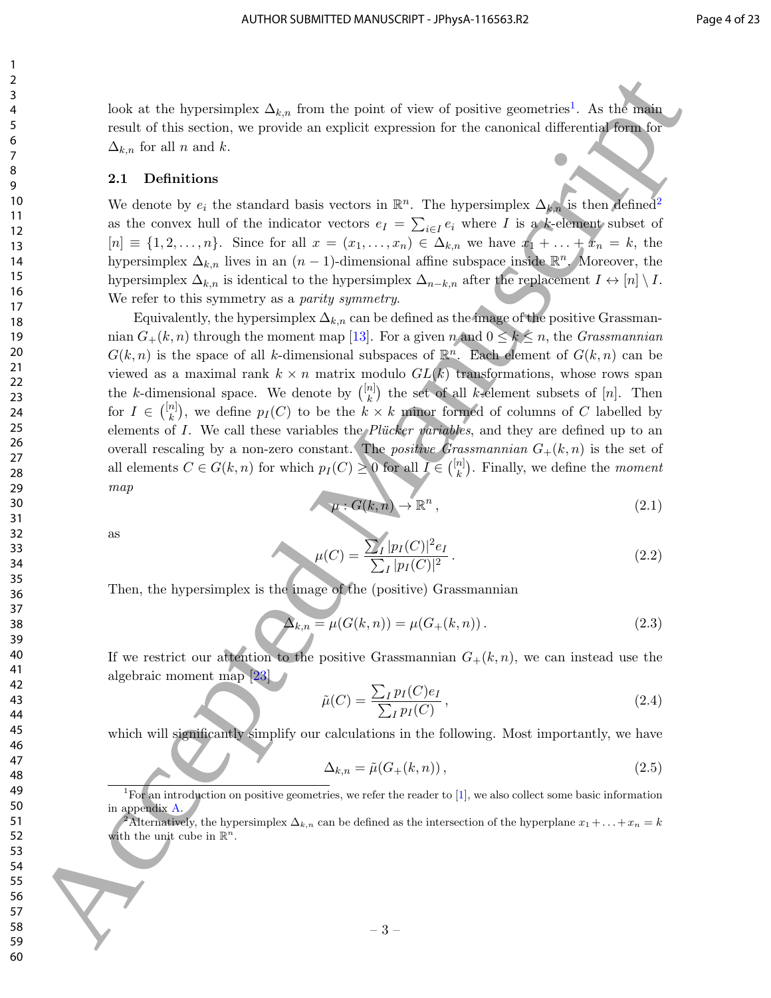look at the hypersimplex  $\Delta_{k,n}$  from the point of view of positive geometries<sup>1</sup>. As the main result of this section, we provide an explicit expression for the canonical differential form for  $\Delta_{k,n}$  for all n and k.

#### 2.1 Definitions

We denote by  $e_i$  the standard basis vectors in  $\mathbb{R}^n$ . The hypersimplex  $\Delta_{k,n}$  is then defined<sup>2</sup> as the convex hull of the indicator vectors  $e_I = \sum_{i \in I} e_i$  where I is a k-element subset of  $[n] \equiv \{1, 2, \ldots, n\}$ . Since for all  $x = (x_1, \ldots, x_n) \in \Delta_{k,n}$  we have  $x_1 + \ldots + x_n = k$ , the hypersimplex  $\Delta_{k,n}$  lives in an  $(n-1)$ -dimensional affine subspace inside  $\mathbb{R}^n$ . Moreover, the hypersimplex  $\Delta_{k,n}$  is identical to the hypersimplex  $\Delta_{n-k,n}$  after the replacement  $I \leftrightarrow [n] \setminus I$ . We refer to this symmetry as a *parity symmetry*.

Equivalently, the hypersimplex  $\Delta_{k,n}$  can be defined as the image of the positive Grassmannian  $G_+(k,n)$  through the moment map [13]. For a given n and  $0 \leq k \leq n$ , the *Grassmannian*  $G(k,n)$  is the space of all k-dimensional subspaces of  $\mathbb{R}^n$ . Each element of  $G(k,n)$  can be viewed as a maximal rank  $k \times n$  matrix modulo  $GL(k)$  transformations, whose rows span the k-dimensional space. We denote by  $\binom{[n]}{k}$  $\binom{n}{k}$  the set of all k-element subsets of  $[n]$ . Then for  $I \in \binom{[n]}{k}$  $\binom{n}{k}$ , we define  $p_I(C)$  to be the  $k \times k$  minor formed of columns of C labelled by elements of I. We call these variables the *Plucker variables*, and they are defined up to an overall rescaling by a non-zero constant. The *positive Grassmannian*  $G_{+}(k, n)$  is the set of all elements  $C \in G(k, n)$  for which  $p_I(C) \geq 0$  for all  $I \in \binom{[n]}{k}$  $\binom{n}{k}$ . Finally, we define the *moment* map For all the theoretic sign is the control of the set of the control of the set of the set of the set of the set of the set of the set of the set of the set of the set of the set of the set of the set of the set of the set

$$
\mu: G(k,n) \to \mathbb{R}^n \,, \tag{2.1}
$$

as

$$
\mu(C) = \frac{\sum_{I} |p_I(C)|^2 e_I}{\sum_{I} |p_I(C)|^2}.
$$
\n(2.2)

Then, the hypersimplex is the image of the (positive) Grassmannian

$$
\Delta_{k,n} = \mu(G(k,n)) = \mu(G_+(k,n)).
$$
\n(2.3)

If we restrict our attention to the positive Grassmannian  $G_{+}(k, n)$ , we can instead use the algebraic moment map [23]

$$
\tilde{\mu}(C) = \frac{\sum_{I} p_I(C)e_I}{\sum_{I} p_I(C)},
$$
\n(2.4)

which will significantly simplify our calculations in the following. Most importantly, we have

$$
\Delta_{k,n} = \tilde{\mu}(G_+(k,n)),\tag{2.5}
$$

<sup>1</sup>For an introduction on positive geometries, we refer the reader to [1], we also collect some basic information in appendix A.

2Alternatively, the hypersimplex  $\Delta_{k,n}$  can be defined as the intersection of the hyperplane  $x_1 + \ldots + x_n = k$ with the unit cube in  $\mathbb{R}^n$ .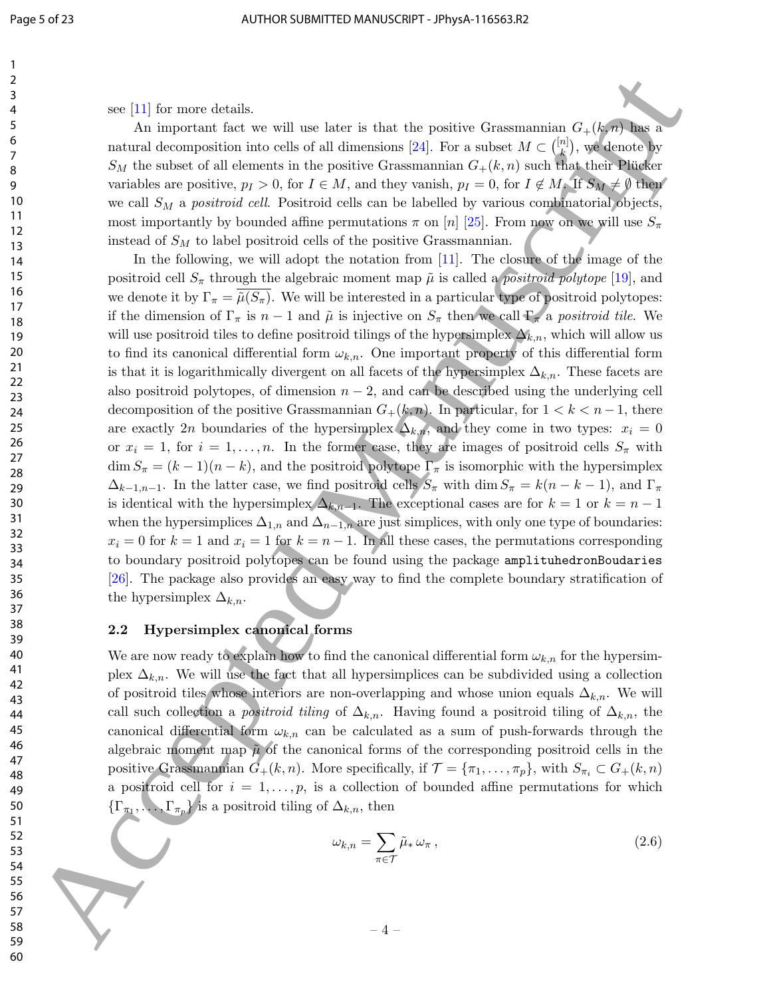59

see [11] for more details.

An important fact we will use later is that the positive Grassmannian  $G_{+}(k,n)$  has a natural decomposition into cells of all dimensions [24]. For a subset  $M \subset \binom{[n]}{k}$  $\binom{n}{k}$ , we denote by  $S_M$  the subset of all elements in the positive Grassmannian  $G_+(k, n)$  such that their Plucker variables are positive,  $p_I > 0$ , for  $I \in M$ , and they vanish,  $p_I = 0$ , for  $I \notin M$ . If  $S_M \neq \emptyset$  then we call  $S_M$  a positroid cell. Positroid cells can be labelled by various combinatorial objects, most importantly by bounded affine permutations  $\pi$  on  $[n]$  [25]. From now on we will use  $S_{\pi}$ instead of  $S_M$  to label positroid cells of the positive Grassmannian.

In the following, we will adopt the notation from [11]. The closure of the image of the positroid cell  $S_{\pi}$  through the algebraic moment map  $\tilde{\mu}$  is called a *positroid polytope* [19], and we denote it by  $\Gamma_{\pi} = \tilde{\mu}(S_{\pi})$ . We will be interested in a particular type of positroid polytopes: if the dimension of  $\Gamma_{\pi}$  is  $n-1$  and  $\tilde{\mu}$  is injective on  $S_{\pi}$  then we call  $\Gamma_{\pi}$  a positroid tile. We will use positroid tiles to define positroid tilings of the hypersimplex  $\Delta_{k,n}$ , which will allow us to find its canonical differential form  $\omega_{k,n}$ . One important property of this differential form is that it is logarithmically divergent on all facets of the hypersimplex  $\Delta_{k,n}$ . These facets are also positroid polytopes, of dimension  $n-2$ , and can be described using the underlying cell decomposition of the positive Grassmannian  $G_+(k,n)$ . In particular, for  $1 < k < n-1$ , there are exactly 2n boundaries of the hypersimplex  $\Delta_{k,n}$ , and they come in two types:  $x_i = 0$ or  $x_i = 1$ , for  $i = 1, \ldots, n$ . In the former case, they are images of positroid cells  $S_{\pi}$  with  $\dim S_{\pi} = (k-1)(n-k)$ , and the positroid polytope  $\Gamma_{\pi}$  is isomorphic with the hypersimplex  $\Delta_{k-1,n-1}$ . In the latter case, we find positroid cells  $S_\pi$  with dim  $S_\pi = k(n-k-1)$ , and  $\Gamma_\pi$ is identical with the hypersimplex  $\Delta_{k,n-1}$ . The exceptional cases are for  $k = 1$  or  $k = n - 1$ when the hypersimplices  $\Delta_{1,n}$  and  $\Delta_{n-1,n}$  are just simplices, with only one type of boundaries:  $x_i = 0$  for  $k = 1$  and  $x_i = 1$  for  $k = n - 1$ . In all these cases, the permutations corresponding to boundary positroid polytopes can be found using the package amplituhedronBoudaries [26]. The package also provides an easy way to find the complete boundary stratification of the hypersimplex  $\Delta_{k,n}$ . see [11] for mean drasks,<br>see [11] for mean drasks, and the six is that the position Grassmanias C.d.A.<br>Some also as the six is the six in dimension [24], the same of  $x \in \mathbb{Q}$ , and the same of  $S_1$  and the same of  $S_$ 

## 2.2 Hypersimplex canonical forms

We are now ready to explain how to find the canonical differential form  $\omega_{k,n}$  for the hypersimplex  $\Delta_{k,n}$ . We will use the fact that all hypersimplices can be subdivided using a collection of positroid tiles whose interiors are non-overlapping and whose union equals  $\Delta_{k,n}$ . We will call such collection a *positroid tiling* of  $\Delta_{k,n}$ . Having found a positroid tiling of  $\Delta_{k,n}$ , the canonical differential form  $\omega_{k,n}$  can be calculated as a sum of push-forwards through the algebraic moment map  $\tilde{\mu}$  of the canonical forms of the corresponding positroid cells in the positive Grassmannian  $G_+(k,n)$ . More specifically, if  $\mathcal{T} = {\pi_1, \ldots, \pi_p}$ , with  $S_{\pi_i} \subset G_+(k,n)$ a positroid cell for  $i = 1, \ldots, p$ , is a collection of bounded affine permutations for which  $\{\Gamma_{\pi_1}, \ldots, \Gamma_{\pi_p}\}\$  is a positroid tiling of  $\Delta_{k,n}$ , then

$$
\omega_{k,n} = \sum_{\pi \in \mathcal{T}} \tilde{\mu}_* \omega_{\pi},\tag{2.6}
$$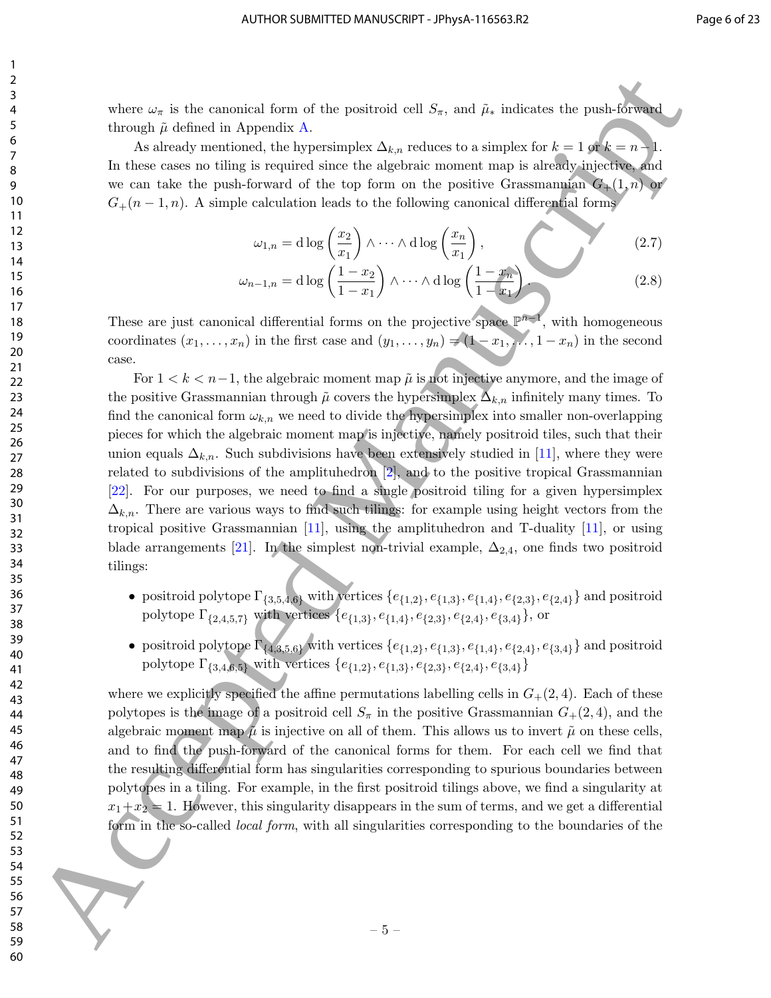where  $\omega_{\pi}$  is the canonical form of the positroid cell  $S_{\pi}$ , and  $\tilde{\mu}_{*}$  indicates the push-forward through  $\tilde{\mu}$  defined in Appendix A.

As already mentioned, the hypersimplex  $\Delta_{k,n}$  reduces to a simplex for  $k = 1$  or  $k = n-1$ . In these cases no tiling is required since the algebraic moment map is already injective, and we can take the push-forward of the top form on the positive Grassmannian  $G_{+}(1,n)$  or  $G_{+}(n-1,n)$ . A simple calculation leads to the following canonical differential forms

$$
\omega_{1,n} = \mathrm{d}\log\left(\frac{x_2}{x_1}\right) \wedge \cdots \wedge \mathrm{d}\log\left(\frac{x_n}{x_1}\right),\tag{2.7}
$$

$$
\omega_{n-1,n} = d \log \left( \frac{1 - x_2}{1 - x_1} \right) \wedge \dots \wedge d \log \left( \frac{1 - x_n}{1 - x_1} \right). \tag{2.8}
$$

These are just canonical differential forms on the projective space  $\mathbb{P}^{n-1}$ , with homogeneous coordinates  $(x_1, \ldots, x_n)$  in the first case and  $(y_1, \ldots, y_n) = (1 - x_1, \ldots, 1 - x_n)$  in the second case.

For  $1 < k < n-1$ , the algebraic moment map  $\tilde{\mu}$  is not injective anymore, and the image of the positive Grassmannian through  $\tilde{\mu}$  covers the hypersimplex  $\Delta_{k,n}$  infinitely many times. To find the canonical form  $\omega_{k,n}$  we need to divide the hypersimplex into smaller non-overlapping pieces for which the algebraic moment map is injective, namely positroid tiles, such that their union equals  $\Delta_{k,n}$ . Such subdivisions have been extensively studied in [11], where they were related to subdivisions of the amplituhedron [2], and to the positive tropical Grassmannian [22]. For our purposes, we need to find a single positroid tiling for a given hypersimplex  $\Delta_{k,n}$ . There are various ways to find such tilings: for example using height vectors from the tropical positive Grassmannian [11], using the amplituhedron and T-duality [11], or using blade arrangements [21]. In the simplest non-trivial example,  $\Delta_{2,4}$ , one finds two positroid tilings: 24 Accepted Manuscript (i.e.,  $\mu$ ) and  $\mu$  and  $\mu$ ) and  $\mu$  and  $\mu$  and  $\mu$  and  $\mu$  and  $\mu$  and  $\mu$  and  $\mu$  and  $\mu$  and  $\mu$  and  $\mu$  and  $\mu$  and  $\mu$  and  $\mu$  and  $\mu$  and  $\mu$  and  $\mu$  and  $\mu$  and  $\mu$  and

- positroid polytope  $\Gamma_{\{3,5,4,6\}}$  with vertices  $\{e_{\{1,2\}}, e_{\{1,3\}}, e_{\{1,4\}}, e_{\{2,3\}}, e_{\{2,4\}}\}$  and positroid polytope  $\Gamma_{\{2,4,5,7\}}$  with vertices  $\{e_{\{1,3\}}, e_{\{1,4\}}, e_{\{2,3\}}, e_{\{2,4\}}, e_{\{3,4\}}\}$ , or
- positroid polytope  $\Gamma_{\{4,3,5,6\}}$  with vertices  $\{e_{\{1,2\}}, e_{\{1,3\}}, e_{\{1,4\}}, e_{\{2,4\}}, e_{\{3,4\}}\}$  and positroid polytope  $\Gamma_{\{3,4,6,5\}}$  with vertices  $\{e_{\{1,2\}}, e_{\{1,3\}}, e_{\{2,3\}}, e_{\{2,4\}}, e_{\{3,4\}}\}$

where we explicitly specified the affine permutations labelling cells in  $G_{+}(2, 4)$ . Each of these polytopes is the image of a positroid cell  $S_\pi$  in the positive Grassmannian  $G_+(2,4)$ , and the algebraic moment map  $\tilde{\mu}$  is injective on all of them. This allows us to invert  $\tilde{\mu}$  on these cells, and to find the push-forward of the canonical forms for them. For each cell we find that the resulting differential form has singularities corresponding to spurious boundaries between polytopes in a tiling. For example, in the first positroid tilings above, we find a singularity at  $x_1+x_2=1$ . However, this singularity disappears in the sum of terms, and we get a differential form in the so-called *local form*, with all singularities corresponding to the boundaries of the

1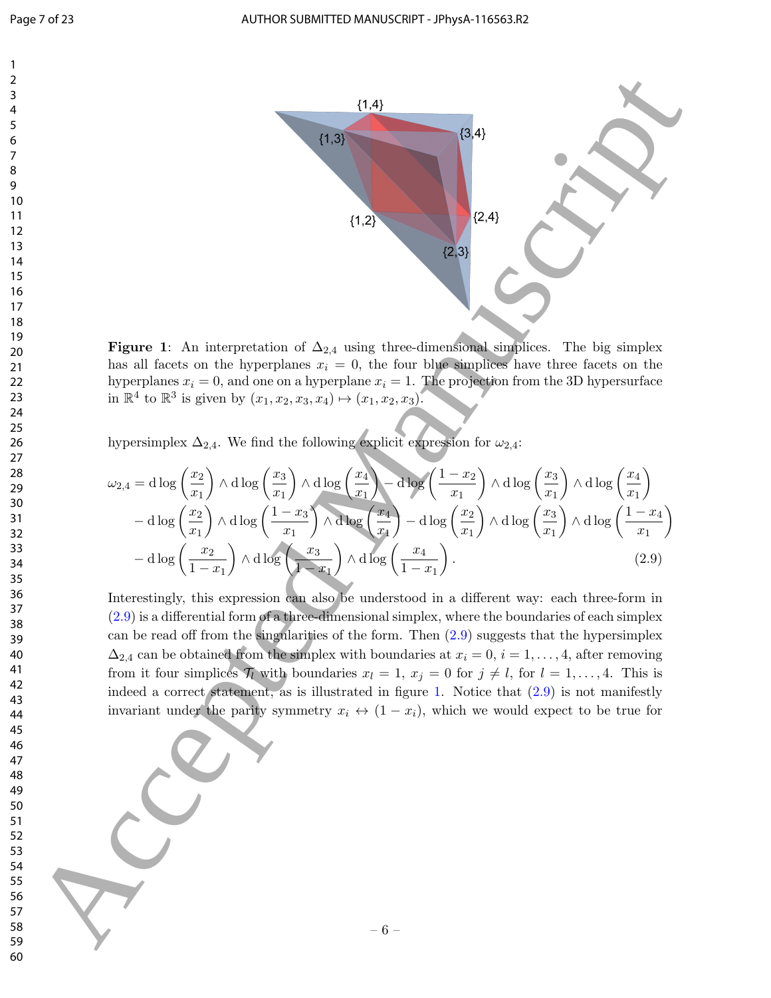

Figure 1: An interpretation of  $\Delta_{2,4}$  using three-dimensional simplices. The big simplex has all facets on the hyperplanes  $x_i = 0$ , the four blue simplices have three facets on the hyperplanes  $x_i = 0$ , and one on a hyperplane  $x_i = 1$ . The projection from the 3D hypersurface in  $\mathbb{R}^4$  to  $\mathbb{R}^3$  is given by  $(x_1, x_2, x_3, x_4) \mapsto (x_1, x_2, x_3)$ .

hypersimplex  $\Delta_{2,4}$ . We find the following explicit expression for  $\omega_{2,4}$ :

$$
\omega_{2,4} = d \log \left(\frac{x_2}{x_1}\right) \wedge d \log \left(\frac{x_3}{x_1}\right) \wedge d \log \left(\frac{x_4}{x_1}\right) - d \log \left(\frac{1-x_2}{x_1}\right) \wedge d \log \left(\frac{x_3}{x_1}\right) \wedge d \log \left(\frac{x_4}{x_1}\right) - d \log \left(\frac{x_2}{x_1}\right) \wedge d \log \left(\frac{1-x_3}{x_1}\right) \wedge d \log \left(\frac{x_4}{x_1}\right) - d \log \left(\frac{x_2}{x_1}\right) \wedge d \log \left(\frac{x_3}{x_1}\right) \wedge d \log \left(\frac{1-x_4}{x_1}\right) - d \log \left(\frac{x_2}{x_1}\right) \wedge d \log \left(\frac{x_3}{x_1}\right) \wedge d \log \left(\frac{x_4}{x_1}\right) \wedge d \log \left(\frac{x_4}{x_1}\right) \wedge d \log \left(\frac{x_4}{x_1}\right) \wedge d \log \left(\frac{x_4}{x_1}\right) \wedge d \log \left(\frac{x_4}{x_1}\right) \wedge d \log \left(\frac{x_4}{x_1}\right) \wedge d \log \left(\frac{x_4}{x_1}\right) \wedge d \log \left(\frac{x_4}{x_1}\right) \wedge d \log \left(\frac{x_4}{x_1}\right) \wedge d \log \left(\frac{x_4}{x_1}\right) \wedge d \log \left(\frac{x_4}{x_1}\right) \wedge d \log \left(\frac{x_4}{x_1}\right) \wedge d \log \left(\frac{x_4}{x_1}\right) \wedge d \log \left(\frac{x_4}{x_1}\right) \wedge d \log \left(\frac{x_4}{x_1}\right) \wedge d \log \left(\frac{x_4}{x_1}\right) \wedge d \log \left(\frac{x_4}{x_1}\right) \wedge d \log \left(\frac{x_4}{x_1}\right) \wedge d \log \left(\frac{x_4}{x_1}\right) \wedge d \log \left(\frac{x_4}{x_1}\right) \wedge d \log \left(\frac{x_4}{x_1}\right) \wedge d \log \left(\frac{x_4}{x_1}\right) \wedge d \log \left(\frac{x_4}{x_1}\right) \wedge d \log \left(\frac{x_4}{x_1
$$

Interestingly, this expression can also be understood in a different way: each three-form in (2.9) is a differential form of a three-dimensional simplex, where the boundaries of each simplex can be read off from the singularities of the form. Then (2.9) suggests that the hypersimplex  $\Delta_{2,4}$  can be obtained from the simplex with boundaries at  $x_i = 0, i = 1, \ldots, 4$ , after removing from it four simplices  $\mathcal{T}_l$  with boundaries  $x_l = 1, x_j = 0$  for  $j \neq l$ , for  $l = 1, \ldots, 4$ . This is indeed a correct statement, as is illustrated in figure 1. Notice that  $(2.9)$  is not manifestly invariant under the parity symmetry  $x_i \leftrightarrow (1-x_i)$ , which we would expect to be true for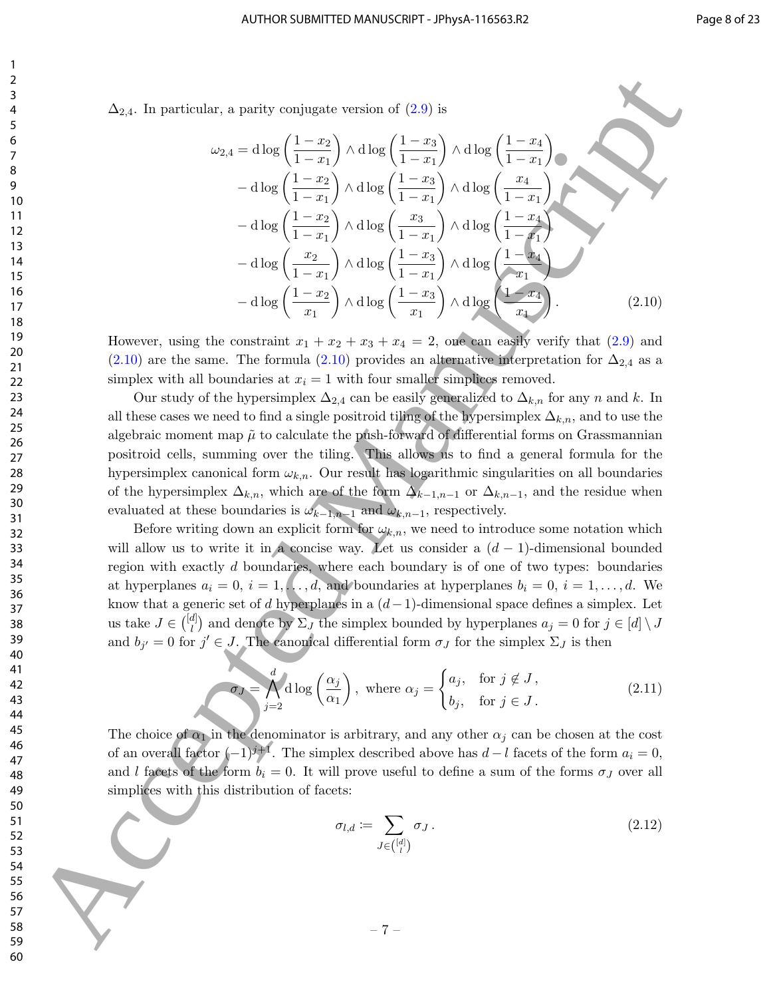$\Delta_{2,4}$ . In particular, a parity conjugate version of  $(2.9)$  is

24. In particular, a parity conjugate version of (2.9) is  
\n
$$
\Delta_{2,4}.
$$
 In particular, a parity conjugate version of (2.9) is  
\n
$$
\Delta_{2,4}.
$$
 In particular, a parity conjugate version of (2.9) is  
\n
$$
\Delta_{2,4} = \text{d log} \left( \frac{1-x_2}{1-x_1} \right) \wedge \text{d log} \left( \frac{1-x_4}{1-x_1} \right) \wedge \text{d log} \left( \frac{1-x_4}{1-x_1} \right)
$$
\n
$$
- \text{d log} \left( \frac{1-x_2}{1-x_1} \right) \wedge \text{d log} \left( \frac{1-x_3}{1-x_1} \right) \wedge \text{d log} \left( \frac{1-x_4}{1-x_1} \right)
$$
\n
$$
- \text{d log} \left( \frac{1-x_2}{1-x_1} \right) \wedge \text{d log} \left( \frac{1-x_3}{1-x_1} \right) \wedge \text{d log} \left( \frac{1-x_4}{1-x_1} \right)
$$
\n
$$
- \text{d log} \left( \frac{1-x_2}{x_1} \right) \wedge \text{d log} \left( \frac{1-x_3}{x_1} \right) \wedge \text{d log} \left( \frac{1-x_4}{x_1} \right)
$$
\n
$$
- \text{d log} \left( \frac{1-x_2}{x_1} \right) \wedge \text{d log} \left( \frac{1-x_3}{x_1} \right) \wedge \text{d log} \left( \frac{1-x_4}{x_1} \right)
$$
\n
$$
- \text{d log} \left( \frac{1-x_2}{x_1} \right) \wedge \text{d log} \left( \frac{1-x_3}{x_1} \right) \wedge \text{d log} \left( \frac{1-x_4}{x_1} \right)
$$
\n
$$
- \text{d log} \left( \frac{1-x_2}{x_1} \right) \wedge \text{d log} \left( \frac{1-x_3}{x_1} \right) \wedge \text{d log} \left( \frac{1-x_4}{x_1} \right)
$$
\n
$$
- \text{d log} \left( \frac{1-x_2}{x_1} \right) \wedge \text{d log} \left( \frac{1
$$

However, using the constraint  $x_1 + x_2 + x_3 + x_4 = 2$ , one can easily verify that  $(2.9)$  and (2.10) are the same. The formula (2.10) provides an alternative interpretation for  $\Delta_{2,4}$  as a simplex with all boundaries at  $x_i = 1$  with four smaller simplices removed.

Our study of the hypersimplex  $\Delta_{2,4}$  can be easily generalized to  $\Delta_{k,n}$  for any n and k. In all these cases we need to find a single positroid tiling of the hypersimplex  $\Delta_{k,n}$ , and to use the algebraic moment map  $\tilde{\mu}$  to calculate the push-forward of differential forms on Grassmannian positroid cells, summing over the tiling. This allows us to find a general formula for the hypersimplex canonical form  $\omega_{k,n}$ . Our result has logarithmic singularities on all boundaries of the hypersimplex  $\Delta_{k,n}$ , which are of the form  $\Delta_{k-1,n-1}$  or  $\Delta_{k,n-1}$ , and the residue when evaluated at these boundaries is  $\omega_{k-1,n-1}$  and  $\omega_{k,n-1}$ , respectively.

Before writing down an explicit form for  $\omega_{k,n}$ , we need to introduce some notation which will allow us to write it in a concise way. Let us consider a  $(d-1)$ -dimensional bounded region with exactly d boundaries, where each boundary is of one of two types: boundaries at hyperplanes  $a_i = 0, i = 1, \ldots, d$ , and boundaries at hyperplanes  $b_i = 0, i = 1, \ldots, d$ . We know that a generic set of d hyperplanes in a  $(d-1)$ -dimensional space defines a simplex. Let us take  $J \in \binom{[d]}{l}$  $\binom{d}{l}$  and denote by  $\Sigma_J$  the simplex bounded by hyperplanes  $a_j = 0$  for  $j \in [d] \setminus J$ and  $b_{j'} = 0$  for  $j' \in J$ . The canonical differential form  $\sigma_J$  for the simplex  $\Sigma_J$  is then

$$
\sigma J = \bigwedge_{j=2}^{d} d \log \left( \frac{\alpha_j}{\alpha_1} \right), \text{ where } \alpha_j = \begin{cases} a_j, & \text{for } j \notin J, \\ b_j, & \text{for } j \in J. \end{cases}
$$
 (2.11)

The choice of  $\alpha_1$  in the denominator is arbitrary, and any other  $\alpha_i$  can be chosen at the cost of an overall factor  $(-1)^{j+1}$ . The simplex described above has  $d - l$  facets of the form  $a_i = 0$ , and l facets of the form  $b_i = 0$ . It will prove useful to define a sum of the forms  $\sigma_j$  over all simplices with this distribution of facets:

$$
\sigma_{l,d} := \sum_{J \in \binom{[d]}{l}} \sigma_J \,. \tag{2.12}
$$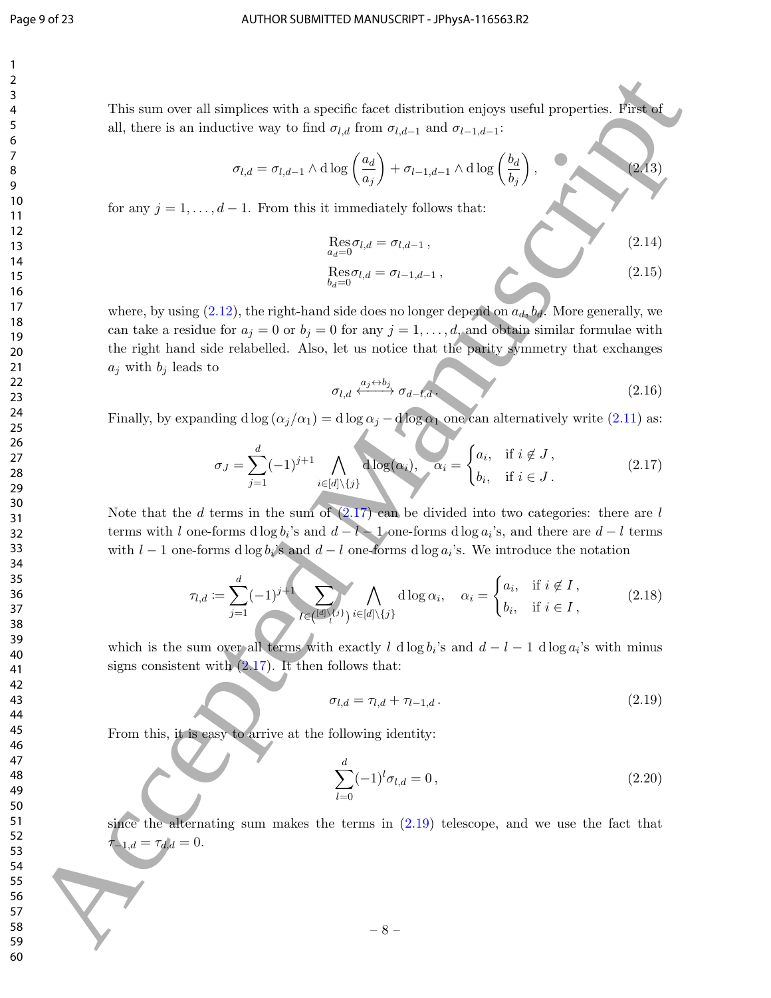This sum over all simplices with a specific facet distribution enjoys useful properties. First of all, there is an inductive way to find  $\sigma_{l,d}$  from  $\sigma_{l,d-1}$  and  $\sigma_{l-1,d-1}$ :

$$
\sigma_{l,d} = \sigma_{l,d-1} \wedge d \log \left( \frac{a_d}{a_j} \right) + \sigma_{l-1,d-1} \wedge d \log \left( \frac{b_d}{b_j} \right),
$$
 (2)

for any  $j = 1, \ldots, d - 1$ . From this it immediately follows that:

$$
\operatorname{Res}_{a_d=0} \sigma_{l,d} = \sigma_{l,d-1},
$$
\n
$$
\operatorname{Res}_{b_d=0} \sigma_{l,d} = \sigma_{l-1,d-1},
$$
\n(2.14)\n(2.15)

 $(13)$ 

where, by using (2.12), the right-hand side does no longer depend on  $a_d$ ,  $b_d$ . More generally, we can take a residue for  $a_j = 0$  or  $b_j = 0$  for any  $j = 1, \ldots, d$ , and obtain similar formulae with the right hand side relabelled. Also, let us notice that the parity symmetry that exchanges  $a_j$  with  $b_j$  leads to This can cover all singlic on with a specific first distribution only<br>an end all states is an inductive way to find  $\alpha_{ijk}$  from  $\alpha_{ijk}$  and  $\alpha_{ijk}$  from  $\alpha_{ijk}$  and  $\alpha_{ijk}$  from  $\alpha_{ijk}$  from  $\alpha_{ijk}$  from  $\alpha_{ijk}$  from  $\alpha$ 

$$
\sigma_{l,d} \xleftrightarrow{a_j \leftrightarrow b_j} \sigma_{d-l,d} \tag{2.16}
$$

Finally, by expanding d log  $(\alpha_j/\alpha_1) = d \log \alpha_j - d \log \alpha_1$  one can alternatively write (2.11) as:

$$
\sigma_J = \sum_{j=1}^d (-1)^{j+1} \bigwedge_{i \in [d] \setminus \{j\}} \text{d}\log(\alpha_i), \quad \alpha_i = \begin{cases} a_i, & \text{if } i \notin J, \\ b_i, & \text{if } i \in J. \end{cases}
$$
 (2.17)

Note that the d terms in the sum of  $(2.17)$  can be divided into two categories: there are l terms with l one-forms d log  $b_i$ 's and  $d - l - 1$  one-forms d log  $a_i$ 's, and there are  $d - l$  terms with  $l-1$  one-forms d log  $b_i$ 's and  $d-l$  one-forms d log  $a_i$ 's. We introduce the notation

$$
\tau_{l,d} := \sum_{j=1}^d (-1)^{j+1} \sum_{I \in \{[d]\setminus\{j\}} \atop l \in [d] \setminus\{j\}} \bigwedge_{i \in [d] \setminus\{j\}} \text{d} \log \alpha_i, \quad \alpha_i = \begin{cases} a_i, & \text{if } i \notin I, \\ b_i, & \text{if } i \in I, \end{cases} \tag{2.18}
$$

which is the sum over all terms with exactly l dlog  $b_i$ 's and  $d - l - 1$  dlog  $a_i$ 's with minus signs consistent with  $(2.17)$ . It then follows that:

$$
\sigma_{l,d} = \tau_{l,d} + \tau_{l-1,d} \tag{2.19}
$$

From this, it is easy to arrive at the following identity:

$$
\sum_{l=0}^{d} (-1)^{l} \sigma_{l,d} = 0, \qquad (2.20)
$$

since the alternating sum makes the terms in  $(2.19)$  telescope, and we use the fact that  $\tau_{-1,d} = \tau_{d,d} = 0.$ 

– 8 –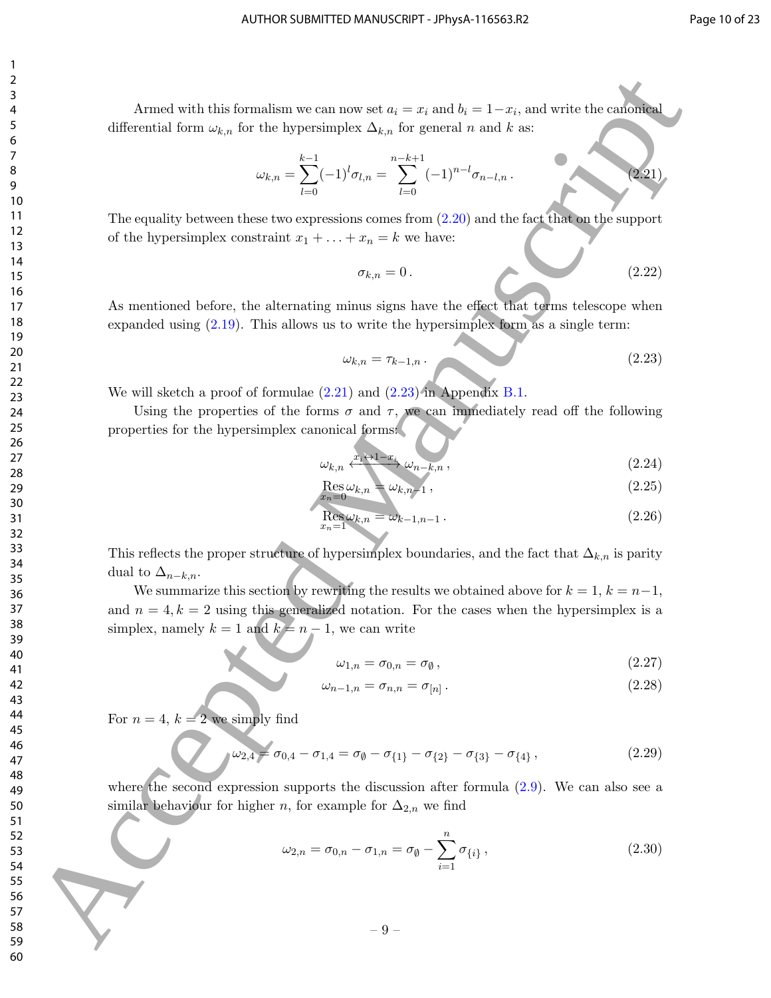Armed with this formalism we can now set  $a_i = x_i$  and  $b_i = 1-x_i$ , and write the canonical differential form  $\omega_{k,n}$  for the hypersimplex  $\Delta_{k,n}$  for general n and k as:

$$
\omega_{k,n} = \sum_{l=0}^{k-1} (-1)^l \sigma_{l,n} = \sum_{l=0}^{n-k+1} (-1)^{n-l} \sigma_{n-l,n}.
$$
\n(2.21)

The equality between these two expressions comes from  $(2.20)$  and the fact that on the support of the hypersimplex constraint  $x_1 + \ldots + x_n = k$  we have:

$$
\sigma_{k,n} = 0. \tag{2.22}
$$

As mentioned before, the alternating minus signs have the effect that terms telescope when expanded using (2.19). This allows us to write the hypersimplex form as a single term:

$$
\omega_{k,n} = \tau_{k-1,n} \tag{2.23}
$$

We will sketch a proof of formulae (2.21) and (2.23) in Appendix B.1.

Using the properties of the forms  $\sigma$  and  $\tau$ , we can immediately read off the following properties for the hypersimplex canonical forms:

$$
\omega_{k,n} \xleftarrow{\mathcal{X}_i \leftrightarrow 1 - x_i} \omega_{n-k,n},\tag{2.24}
$$

$$
\mathop{\rm Res}_{x_n=0}\omega_{k,n}=\omega_{k,n-1},\qquad(2.25)
$$

$$
\mathop{\rm Res}_{x_n=1} \omega_{k,n} = \omega_{k-1,n-1} \,. \tag{2.26}
$$

This reflects the proper structure of hypersimplex boundaries, and the fact that  $\Delta_{k,n}$  is parity dual to  $\Delta_{n-k,n}$ .

We summarize this section by rewriting the results we obtained above for  $k = 1, k = n-1$ , and  $n = 4, k = 2$  using this generalized notation. For the cases when the hypersimplex is a simplex, namely  $k = 1$  and  $k = n - 1$ , we can write Arrest with this formula or out one act  $a_1 = a_1$ , and when the schemes of differential form  $\omega_{\mu}$ , but the hypersimples  $\Delta_{\mu}$ , for examples  $\omega_{\mu} = \sum_{k=1}^{n} (-1)^{n-1} \sigma_{\mu} - \sum_{k=1}^{n} (-1)^{n-1} \sigma_{\mu}$ ,  $\ldots$ <br>
The equ

$$
\omega_{1,n} = \sigma_{0,n} = \sigma_{\emptyset},\tag{2.27}
$$

$$
\omega_{n-1,n} = \sigma_{n,n} = \sigma_{[n]} \,. \tag{2.28}
$$

For  $n = 4$ ,  $k = 2$  we simply find

$$
\omega_{2,4} = \sigma_{0,4} - \sigma_{1,4} = \sigma_{\emptyset} - \sigma_{\{1\}} - \sigma_{\{2\}} - \sigma_{\{3\}} - \sigma_{\{4\}},
$$
\n(2.29)

where the second expression supports the discussion after formula  $(2.9)$ . We can also see a similar behaviour for higher n, for example for  $\Delta_{2,n}$  we find

$$
\omega_{2,n} = \sigma_{0,n} - \sigma_{1,n} = \sigma_{\emptyset} - \sum_{i=1}^{n} \sigma_{\{i\}},
$$
\n(2.30)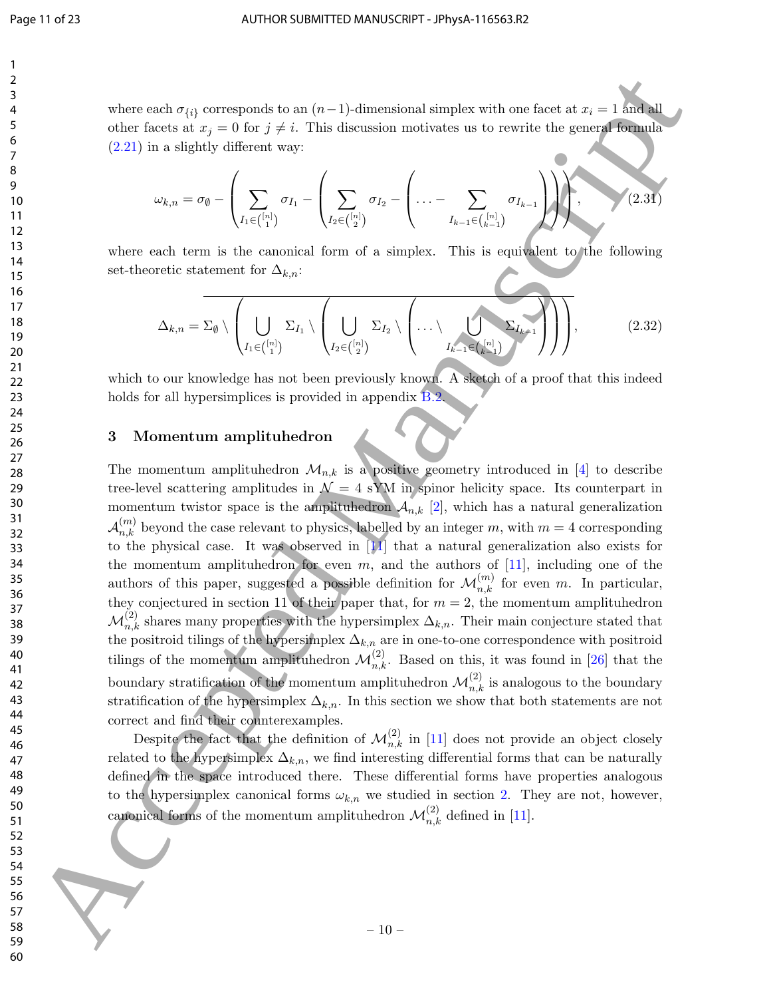where each  $\sigma_{\{i\}}$  corresponds to an  $(n-1)$ -dimensional simplex with one facet at  $x_i = 1$  and all other facets at  $x_j = 0$  for  $j \neq i$ . This discussion motivates us to rewrite the general formula (2.21) in a slightly different way:

$$
\omega_{k,n} = \sigma_{\emptyset} - \left( \sum_{I_1 \in \binom{[n]}{1}} \sigma_{I_1} - \left( \sum_{I_2 \in \binom{[n]}{2}} \sigma_{I_2} - \left( \ldots - \sum_{I_{k-1} \in \binom{[n]}{k-1}} \sigma_{I_{k-1}} \right) \right) \right), \qquad (2.31)
$$

where each term is the canonical form of a simplex. This is equivalent to the following set-theoretic statement for  $\Delta_{k,n}$ :

$$
\Delta_{k,n} = \Sigma_{\emptyset} \setminus \left( \bigcup_{I_1 \in \binom{[n]}{1}} \Sigma_{I_1} \setminus \left( \bigcup_{I_2 \in \binom{[n]}{2}} \Sigma_{I_2} \setminus \left( \dots \setminus \bigcup_{I_{k-1} \in \binom{[n]}{k-1}} \Sigma_{I_{k-1}} \right) \right) \right), \tag{2.32}
$$

which to our knowledge has not been previously known. A sketch of a proof that this indeed holds for all hypersimplices is provided in appendix **B.2.** 

## 3 Momentum amplituhedron

The momentum amplituhedron  $\mathcal{M}_{n,k}$  is a positive geometry introduced in [4] to describe tree-level scattering amplitudes in  $\mathcal{N} = 4$  sYM in spinor helicity space. Its counterpart in momentum twistor space is the amplituhedron  $A_{n,k}$  [2], which has a natural generalization  $\mathcal{A}_{n,k}^{(m)}$  beyond the case relevant to physics, labelled by an integer m, with  $m=4$  corresponding to the physical case. It was observed in [11] that a natural generalization also exists for the momentum amplituhedron for even  $m$ , and the authors of [11], including one of the authors of this paper, suggested a possible definition for  $\mathcal{M}_{n,k}^{(m)}$  for even m. In particular, they conjectured in section 11 of their paper that, for  $m = 2$ , the momentum amplituhedron  $\mathcal{M}^{(2)}_{n,k}$  shares many properties with the hypersimplex  $\Delta_{k,n}$ . Their main conjecture stated that the positroid tilings of the hypersimplex  $\Delta_{k,n}$  are in one-to-one correspondence with positroid tilings of the momentum amplituhedron  $\mathcal{M}_{n,k}^{(2)}$ . Based on this, it was found in [26] that the boundary stratification of the momentum amplituhedron  $\mathcal{M}^{(2)}_{n,k}$  is analogous to the boundary stratification of the hypersimplex  $\Delta_{k,n}$ . In this section we show that both statements are not correct and find their counterexamples. is a selectron of  $\eta_{13}$  excepted from  $(\alpha-1)$  directed Manuscript with one force is a  $\alpha$  - baseline decreasion and single with one force is a second of the selection of  $(2.2)$  in a single in the case of  $\alpha$  and  $\alpha$ 

Despite the fact that the definition of  $\mathcal{M}_{n,k}^{(2)}$  in [11] does not provide an object closely related to the hypersimplex  $\Delta_{k,n}$ , we find interesting differential forms that can be naturally defined in the space introduced there. These differential forms have properties analogous to the hypersimplex canonical forms  $\omega_{k,n}$  we studied in section 2. They are not, however, canonical forms of the momentum amplituhedron  $\mathcal{M}^{(2)}_{n,k}$  defined in [11].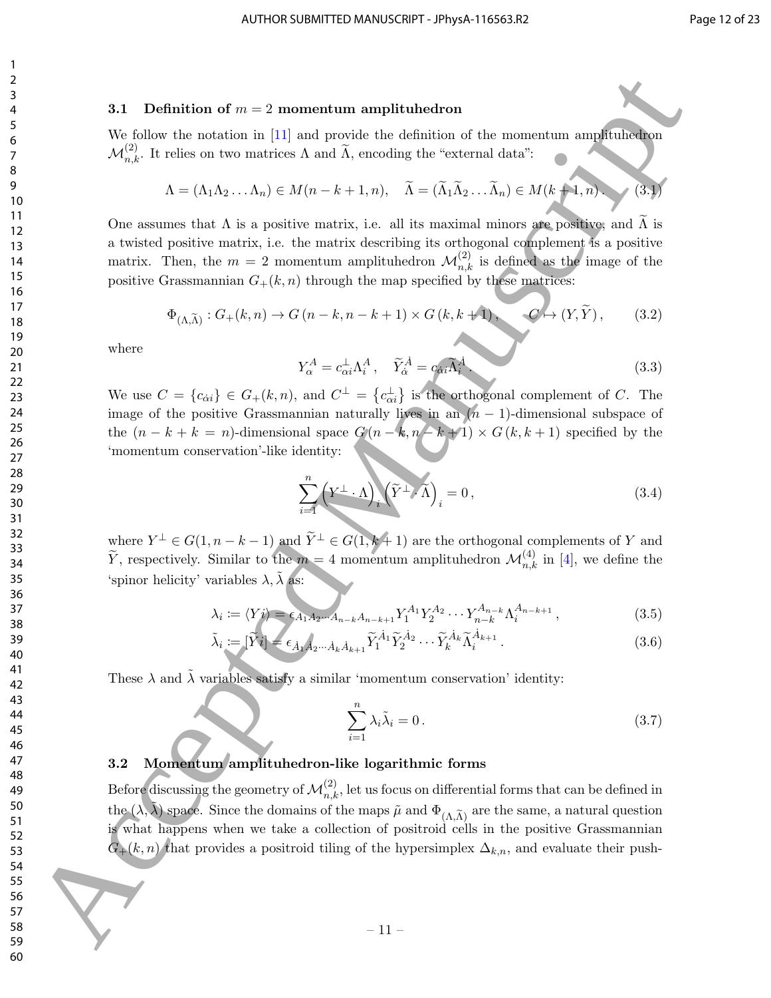#### 3.1 Definition of  $m = 2$  momentum amplituhedron

We follow the notation in [11] and provide the definition of the momentum amplituhedron  $\mathcal{M}_{n,k}^{(2)}$ . It relies on two matrices  $\Lambda$  and  $\widetilde{\Lambda}$ , encoding the "external data":

$$
\Lambda = (\Lambda_1 \Lambda_2 \dots \Lambda_n) \in M(n - k + 1, n), \quad \widetilde{\Lambda} = (\widetilde{\Lambda}_1 \widetilde{\Lambda}_2 \dots \widetilde{\Lambda}_n) \in M(k + 1, n). \tag{3.1}
$$

One assumes that  $\Lambda$  is a positive matrix, i.e. all its maximal minors are positive, and  $\widetilde{\Lambda}$  is a twisted positive matrix, i.e. the matrix describing its orthogonal complement is a positive matrix. Then, the  $m = 2$  momentum amplituhedron  $\mathcal{M}_{n,k}^{(2)}$  is defined as the image of the positive Grassmannian  $G_{+}(k, n)$  through the map specified by these matrices:

$$
\Phi_{(\Lambda,\widetilde{\Lambda})}: G_{+}(k,n) \to G(n-k,n-k+1) \times G(k,k+1), \qquad G \mapsto (Y,\widetilde{Y}), \qquad (3.2)
$$

where

$$
Y_{\alpha}^{A} = c_{\alpha i}^{\perp} \Lambda_{i}^{A}, \quad \tilde{Y}_{\dot{\alpha}}^{\dot{A}} = c_{\dot{\alpha} i} \tilde{\Lambda}_{i}^{\dot{A}}.
$$
\n(3.3)

We use  $C = \{c_{\alpha i}\}\in G_+(k,n)$ , and  $C^{\perp} = \{c_{\alpha i}^{\perp}\}\$ is the orthogonal complement of C. The image of the positive Grassmannian naturally lives in an  $(n-1)$ -dimensional subspace of the  $(n - k + k = n)$ -dimensional space  $G(n - k, n - k + 1) \times G(k, k + 1)$  specified by the 'momentum conservation'-like identity:

$$
\sum_{i=1}^{n} \left( Y^{\perp} \cdot \Lambda \right)_i \left( \tilde{Y}^{\perp} \cdot \tilde{\Lambda} \right)_i = 0, \tag{3.4}
$$

where  $Y^{\perp} \in G(1, n-k-1)$  and  $\widetilde{Y}^{\perp} \in G(1, k+1)$  are the orthogonal complements of Y and  $\widetilde{Y}$ , respectively. Similar to the  $m=4$  momentum amplituhedron  $\mathcal{M}_{n,k}^{(4)}$  in [4], we define the 'spinor helicity' variables  $\lambda$ ,  $\tilde{\lambda}$  as:

$$
\lambda_i := \langle Y i \rangle = \epsilon_{A_1 A_2 \cdots A_{n-k} A_{n-k+1}} Y_1^{A_1} Y_2^{A_2} \cdots Y_{n-k}^{A_{n-k}} \Lambda_i^{A_{n-k+1}}, \tag{3.5}
$$

$$
\tilde{\lambda}_i := [\tilde{Y}i] = \epsilon_{\dot{A}_1 \dot{A}_2 \cdots \dot{A}_k \dot{A}_{k+1}} \tilde{Y}_1^{\dot{A}_1} \tilde{Y}_2^{\dot{A}_2} \cdots \tilde{Y}_k^{\dot{A}_k} \tilde{\Lambda}_i^{\dot{A}_{k+1}}.
$$
\n(3.6)

These  $\lambda$  and  $\tilde{\lambda}$  variables satisfy a similar 'momentum conservation' identity:

$$
\sum_{i=1}^{n} \lambda_i \tilde{\lambda}_i = 0.
$$
\n(3.7)

## 3.2 Momentum amplituhedron-like logarithmic forms

Before discussing the geometry of  $\mathcal{M}_{n,k}^{(2)}$ , let us focus on differential forms that can be defined in the  $(\lambda, \tilde{\lambda})$  space. Since the domains of the maps  $\tilde{\mu}$  and  $\Phi_{(\Lambda,\tilde{\Lambda})}$  are the same, a natural question is what happens when we take a collection of positroid cells in the positive Grassmannian  $G_{+}(k, n)$  that provides a positroid tiling of the hypersimplex  $\Delta_{k,n}$ , and evaluate their push-31 Definition of  $m = 2$  momentum amplitudenton<br>
80 Accepte the relation of the internal contribution of the momentum complete<br>  $A(\xi)$  Excelse are contributed Accelse and Leaseburg definition of the contribution of  $\lambda$ <br>
1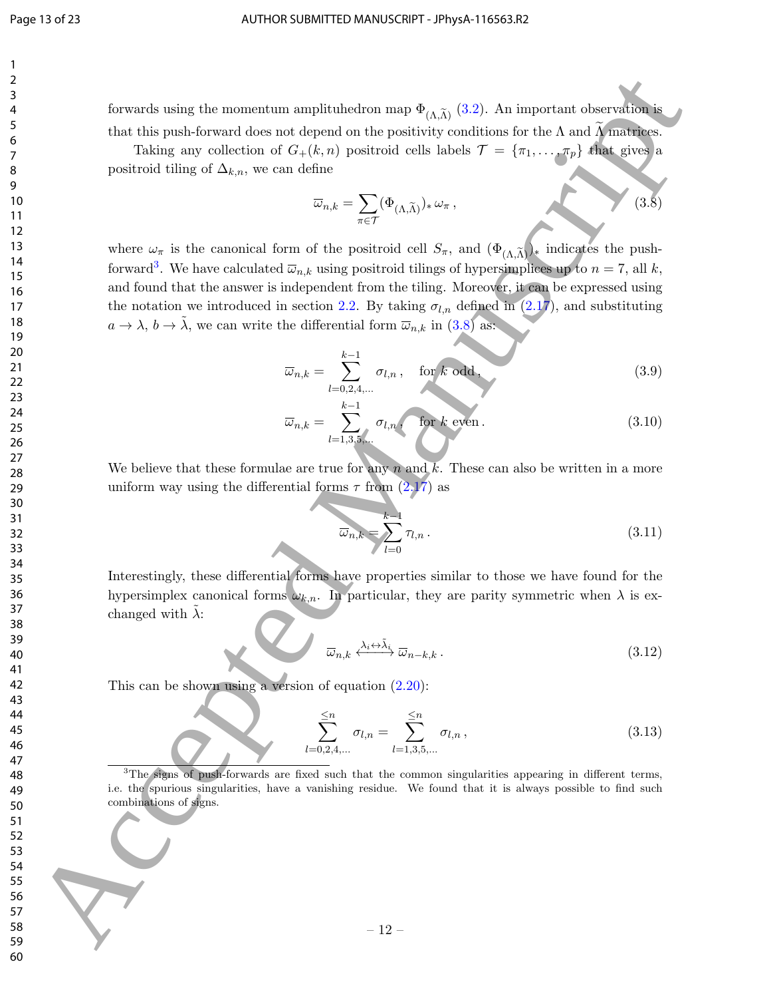forwards using the momentum amplituhedron map  $\Phi_{(\Lambda,\tilde{\Lambda})}$  (3.2). An important observation is that this push-forward does not depend on the positivity conditions for the  $\Lambda$  and  $\Lambda$  matrices.

Taking any collection of  $G_+(k,n)$  positroid cells labels  $\mathcal{T} = {\pi_1, ..., \pi_p}$  that gives a positroid tiling of  $\Delta_{k,n}$ , we can define

$$
\overline{\omega}_{n,k} = \sum_{\pi \in \mathcal{T}} (\Phi_{(\Lambda,\widetilde{\Lambda})})_* \, \omega_{\pi} \,, \tag{3.8}
$$

where  $\omega_{\pi}$  is the canonical form of the positroid cell  $S_{\pi}$ , and  $(\Phi_{(\Lambda,\widetilde{\Lambda})})_*$  indicates the pushforward<sup>3</sup>. We have calculated  $\overline{\omega}_{n,k}$  using positroid tilings of hypersimplices up to  $n = 7$ , all k, and found that the answer is independent from the tiling. Moreover, it can be expressed using the notation we introduced in section 2.2. By taking  $\sigma_{l,n}$  defined in (2.17), and substituting  $a \to \lambda$ ,  $b \to \lambda$ , we can write the differential form  $\overline{\omega}_{n,k}$  in (3.8) as: Formula ming the meanentum amplitudes for many  $\frac{1}{2}$ ,  $\frac{1}{2}$ ,  $\frac{1}{2}$ ,  $\frac{1}{2}$ ,  $\frac{1}{2}$ ,  $\frac{1}{2}$ ,  $\frac{1}{2}$ ,  $\frac{1}{2}$ ,  $\frac{1}{2}$ ,  $\frac{1}{2}$ ,  $\frac{1}{2}$ ,  $\frac{1}{2}$ ,  $\frac{1}{2}$ ,  $\frac{1}{2}$ ,  $\frac{1}{2}$ ,  $\frac{1}{2}$ 

$$
\overline{\omega}_{n,k} = \sum_{l=0,2,4,\dots}^{k-1} \sigma_{l,n}, \quad \text{for } k \text{ odd}, \tag{3.9}
$$

$$
\overline{\omega}_{n,k} = \sum_{l=1,3,5,\dots}^{k-1} \sigma_{l,n}, \quad \text{for } k \text{ even} \,.
$$
 (3.10)

We believe that these formulae are true for any n and k. These can also be written in a more uniform way using the differential forms  $\tau$  from  $(2.17)$  as

$$
\overline{\omega}_{n,k} = \sum_{l=0}^{k-1} \tau_{l,n} \,. \tag{3.11}
$$

Interestingly, these differential forms have properties similar to those we have found for the hypersimplex canonical forms  $\omega_{k,n}$ . In particular, they are parity symmetric when  $\lambda$  is exchanged with  $\lambda$ :

$$
\overline{\omega}_{n,k} \xleftarrow{\lambda_i \leftrightarrow \tilde{\lambda}_i} \overline{\omega}_{n-k,k} \,. \tag{3.12}
$$

This can be shown using a version of equation  $(2.20)$ :

$$
\sum_{l=0,2,4,...}^{5} \sigma_{l,n} = \sum_{l=1,3,5,...}^{5} \sigma_{l,n},
$$
\n(3.13)

<sup>3</sup>The signs of push-forwards are fixed such that the common singularities appearing in different terms, i.e. the spurious singularities, have a vanishing residue. We found that it is always possible to find such combinations of signs.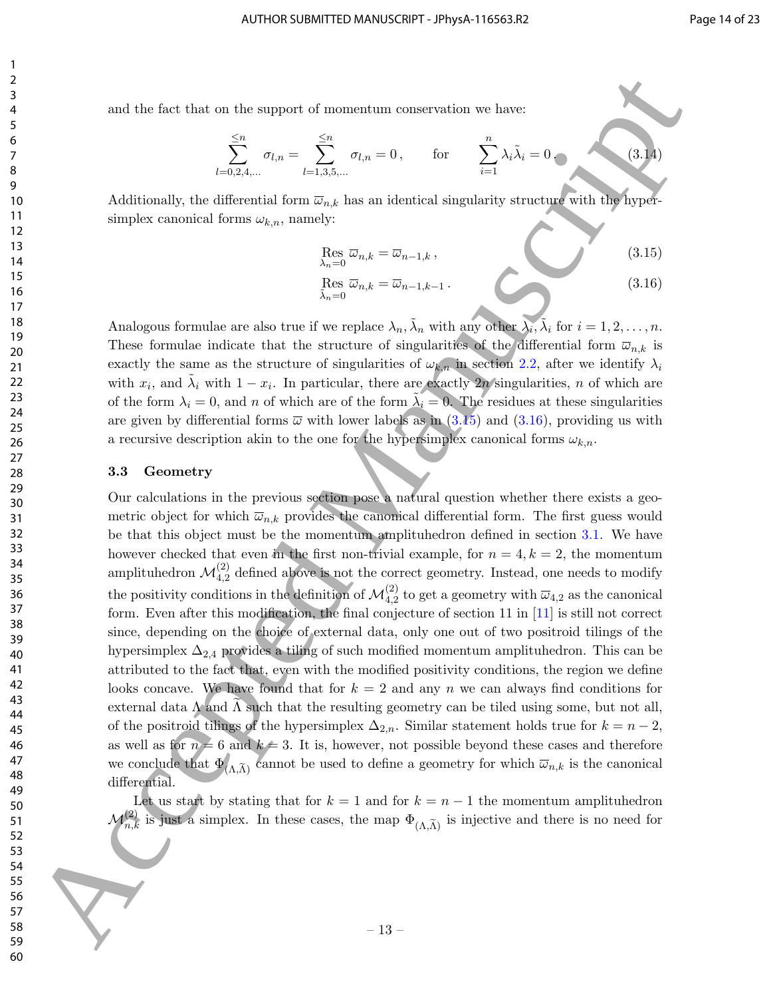and the fact that on the support of momentum conservation we have:

$$
\sum_{l=0,2,4,...}^{\leq n} \sigma_{l,n} = \sum_{l=1,3,5,...}^{\leq n} \sigma_{l,n} = 0, \quad \text{for} \quad \sum_{i=1}^{n} \lambda_i \tilde{\lambda}_i = 0.
$$
 (3.14)

Additionally, the differential form  $\overline{\omega}_{n,k}$  has an identical singularity structure with the hypersimplex canonical forms  $\omega_{k,n}$ , namely:

$$
\operatorname{Res}_{\lambda_n=0} \overline{\omega}_{n,k} = \overline{\omega}_{n-1,k},
$$
\n
$$
\operatorname{Res}_{\overline{\lambda}_n=0} \overline{\omega}_{n,k} = \overline{\omega}_{n-1,k-1}.
$$
\n(3.15)

Analogous formulae are also true if we replace  $\lambda_n$ ,  $\tilde{\lambda}_n$  with any other  $\lambda_i$ ,  $\tilde{\lambda}_i$  for  $i = 1, 2, ..., n$ . These formulae indicate that the structure of singularities of the differential form  $\overline{\omega}_{n,k}$  is exactly the same as the structure of singularities of  $\omega_{k,n}$  in section 2.2, after we identify  $\lambda_i$ with  $x_i$ , and  $\tilde{\lambda}_i$  with  $1 - x_i$ . In particular, there are exactly 2*n* singularities, *n* of which are of the form  $\lambda_i = 0$ , and n of which are of the form  $\tilde{\lambda}_i = 0$ . The residues at these singularities are given by differential forms  $\overline{\omega}$  with lower labels as in (3.15) and (3.16), providing us with a recursive description akin to the one for the hypersimplex canonical forms  $\omega_{k,n}$ .

#### 3.3 Geometry

Our calculations in the previous section pose a natural question whether there exists a geometric object for which  $\overline{\omega}_{n,k}$  provides the canonical differential form. The first guess would be that this object must be the momentum amplituhedron defined in section 3.1. We have however checked that even in the first non-trivial example, for  $n = 4, k = 2$ , the momentum amplituhedron  $\mathcal{M}_{4,2}^{(2)}$  defined above is not the correct geometry. Instead, one needs to modify the positivity conditions in the definition of  $\mathcal{M}_{4,2}^{(2)}$  to get a geometry with  $\overline{\omega}_{4,2}$  as the canonical form. Even after this modification, the final conjecture of section 11 in [11] is still not correct since, depending on the choice of external data, only one out of two positroid tilings of the hypersimplex  $\Delta_{2,4}$  provides a tiling of such modified momentum amplituhedron. This can be attributed to the fact that, even with the modified positivity conditions, the region we define looks concave. We have found that for  $k = 2$  and any n we can always find conditions for external data  $\Lambda$  and  $\Lambda$  such that the resulting geometry can be tiled using some, but not all, of the positroid tilings of the hypersimplex  $\Delta_{2,n}$ . Similar statement holds true for  $k = n - 2$ , as well as for  $n = 6$  and  $k \neq 3$ . It is, however, not possible beyond these cases and therefore we conclude that  $\Phi_{(\Lambda,\tilde{\Lambda})}$  cannot be used to define a geometry for which  $\bar{\omega}_{n,k}$  is the canonical differential. and the fact that on the request of record term connective on the theorem and  $\sum_{i=1}^{n} y_{i,n} = 0$ . Co  $\sum_{i=1}^{n} \sum_{i=1}^{n} y_{i,n} = 0$ . Co  $\sum_{i=1}^{n} \sum_{i=1}^{n} \sum_{i=1}^{n} y_{i,n} = 0$ . Accepted Manuscript  $\sum_{i=1}^{n} y_{i,n} = 0$ .

Let us start by stating that for  $k = 1$  and for  $k = n - 1$  the momentum amplituhedron  $\mathcal{M}_{n,k}^{(2)}$  is just a simplex. In these cases, the map  $\Phi_{(\Lambda,\widetilde{\Lambda})}$  is injective and there is no need for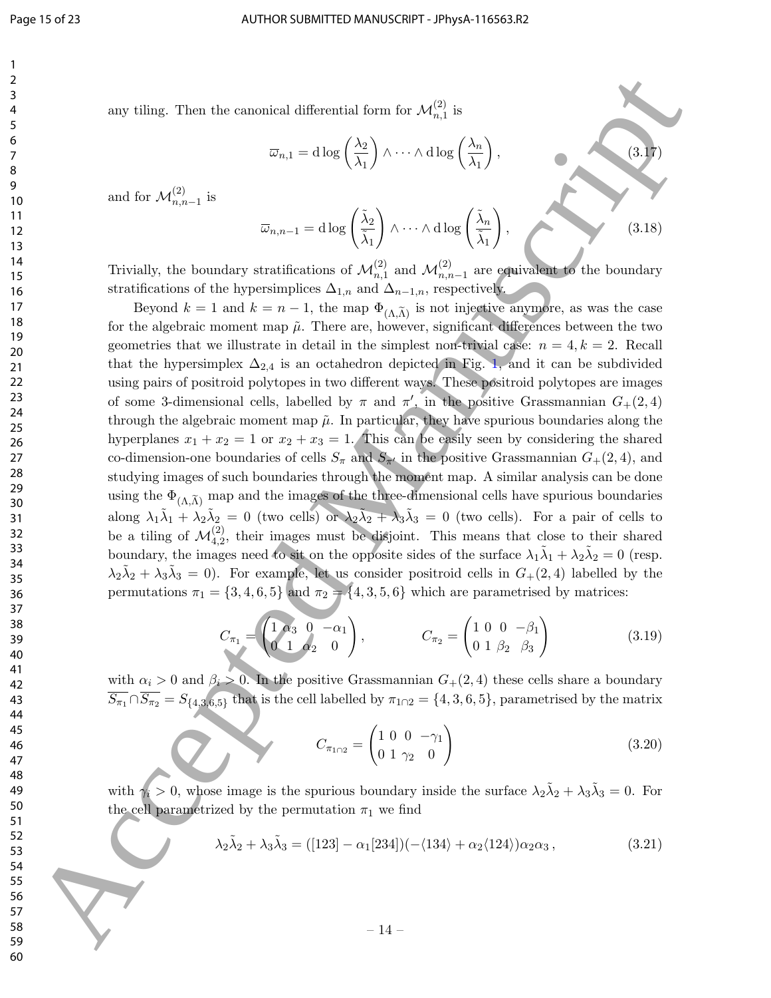any tiling. Then the canonical differential form for  $\mathcal{M}_{n,1}^{(2)}$  is

$$
\overline{\omega}_{n,1} = \mathrm{d}\log\left(\frac{\lambda_2}{\lambda_1}\right) \wedge \cdots \wedge \mathrm{d}\log\left(\frac{\lambda_n}{\lambda_1}\right),\tag{3.17}
$$

and for  $\mathcal{M}_{n,n-1}^{(2)}$  is

$$
\overline{\omega}_{n,n-1} = \mathrm{d}\log\left(\frac{\tilde{\lambda}_2}{\tilde{\lambda}_1}\right) \wedge \cdots \wedge \mathrm{d}\log\left(\frac{\tilde{\lambda}_n}{\tilde{\lambda}_1}\right),\tag{3.18}
$$

Trivially, the boundary stratifications of  $\mathcal{M}_{n,1}^{(2)}$  and  $\mathcal{M}_{n,n-1}^{(2)}$  are equivalent to the boundary stratifications of the hypersimplices  $\Delta_{1,n}$  and  $\Delta_{n-1,n}$ , respectively.

Beyond  $k = 1$  and  $k = n - 1$ , the map  $\Phi_{(\Lambda,\widetilde{\Lambda})}$  is not injective anymore, as was the case for the algebraic moment map  $\tilde{\mu}$ . There are, however, significant differences between the two geometries that we illustrate in detail in the simplest non-trivial case:  $n = 4, k = 2$ . Recall that the hypersimplex  $\Delta_{2,4}$  is an octahedron depicted in Fig. 1, and it can be subdivided using pairs of positroid polytopes in two different ways. These positroid polytopes are images of some 3-dimensional cells, labelled by  $\pi$  and  $\pi'$ , in the positive Grassmannian  $G_{+}(2,4)$ through the algebraic moment map  $\tilde{\mu}$ . In particular, they have spurious boundaries along the hyperplanes  $x_1 + x_2 = 1$  or  $x_2 + x_3 = 1$ . This can be easily seen by considering the shared co-dimension-one boundaries of cells  $S_{\pi}$  and  $S_{\pi'}$  in the positive Grassmannian  $G_{+}(2, 4)$ , and studying images of such boundaries through the moment map. A similar analysis can be done using the  $\Phi_{(\Lambda,\widetilde{\Lambda})}$  map and the images of the three-dimensional cells have spurious boundaries along  $\lambda_1\tilde{\lambda}_1 + \lambda_2\tilde{\lambda}_2 = 0$  (two cells) or  $\lambda_2\tilde{\lambda}_2 + \lambda_3\tilde{\lambda}_3 = 0$  (two cells). For a pair of cells to be a tiling of  $\mathcal{M}_{4,2}^{(2)}$ , their images must be disjoint. This means that close to their shared boundary, the images need to sit on the opposite sides of the surface  $\lambda_1 \tilde{\lambda}_1 + \lambda_2 \tilde{\lambda}_2 = 0$  (resp.  $\lambda_2\tilde{\lambda}_2+\lambda_3\tilde{\lambda}_3=0$ ). For example, let us consider positroid cells in  $G_{+}(2,4)$  labelled by the permutations  $\pi_1 = \{3, 4, 6, 5\}$  and  $\pi_2 = \{4, 3, 5, 6\}$  which are parametrised by matrices: ass value, Then the canonical differential form for  $\lambda t_{\text{min}}^{(2)}$  is<br>  $\overline{u}_{\text{min}} = 0.58 \left(\frac{\lambda_0}{\lambda_1}\right) \wedge \cdots \wedge \text{diag} \left(\frac{\lambda_0}{\lambda_2}\right)$ .<br>
and for  $\mathcal{M}_{\text{min},1}^{(2)} = 0$ <br>
and  $\lambda t_{\text{min},2}^{(2)} = 0.58 \left(\frac{\lambda_0}{\lambda_1}\right) \wedge \cdots \$ 

$$
C_{\pi_1} = \begin{pmatrix} 1 & \alpha_3 & 0 & -\alpha_1 \\ 0 & 1 & \alpha_2 & 0 \end{pmatrix}, \qquad C_{\pi_2} = \begin{pmatrix} 1 & 0 & 0 & -\beta_1 \\ 0 & 1 & \beta_2 & \beta_3 \end{pmatrix}
$$
(3.19)

with  $\alpha_i > 0$  and  $\beta_i > 0$ . In the positive Grassmannian  $G_+(2, 4)$  these cells share a boundary  $S_{\pi_1} \cap S_{\pi_2} = S_{\{4,3,6,5\}}$  that is the cell labelled by  $\pi_{1 \cap 2} = \{4,3,6,5\}$ , parametrised by the matrix

$$
C_{\pi_{1\cap2}} = \begin{pmatrix} 1 & 0 & 0 & -\gamma_1 \\ 0 & 1 & \gamma_2 & 0 \end{pmatrix}
$$
 (3.20)

with  $\gamma_i > 0$ , whose image is the spurious boundary inside the surface  $\lambda_2 \tilde{\lambda}_2 + \lambda_3 \tilde{\lambda}_3 = 0$ . For the cell parametrized by the permutation  $\pi_1$  we find

$$
\lambda_2 \tilde{\lambda}_2 + \lambda_3 \tilde{\lambda}_3 = ([123] - \alpha_1[234])(-\langle 134 \rangle + \alpha_2 \langle 124 \rangle) \alpha_2 \alpha_3 , \qquad (3.21)
$$

– 14 –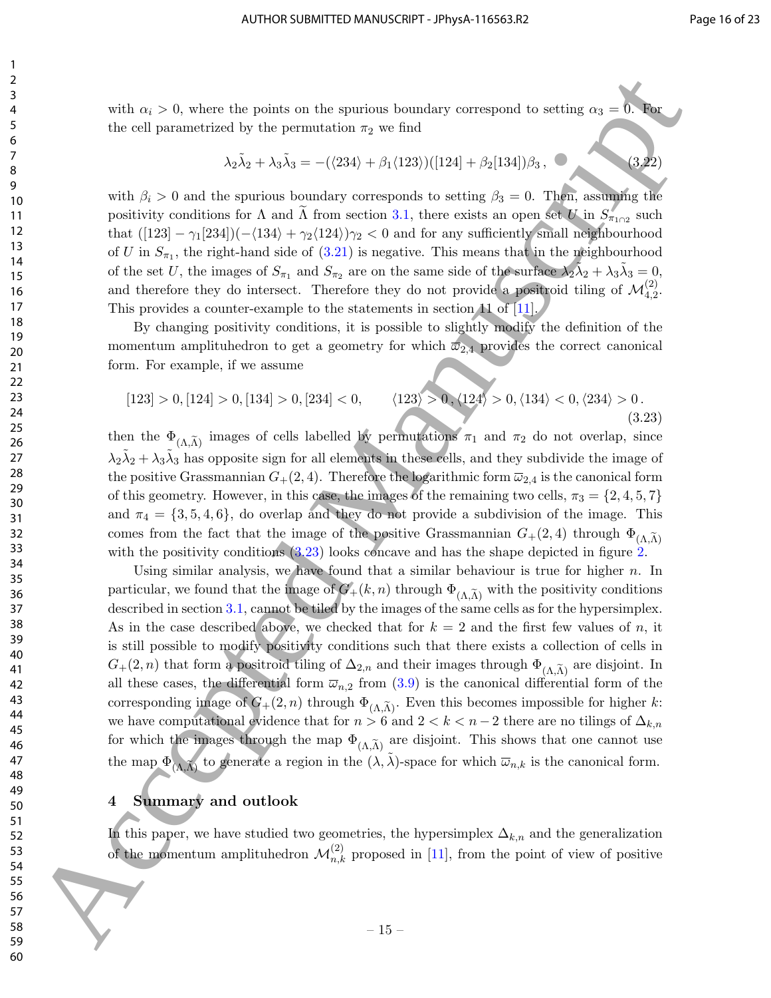with  $\alpha_i > 0$ , where the points on the spurious boundary correspond to setting  $\alpha_3 = 0$ . the cell parametrized by the permutation  $\pi_2$  we find

$$
\lambda_2 \tilde{\lambda}_2 + \lambda_3 \tilde{\lambda}_3 = -(\langle 234 \rangle + \beta_1 \langle 123 \rangle) ([124] + \beta_2 [134]) \beta_3, \tag{3.22}
$$

with  $\beta_i > 0$  and the spurious boundary corresponds to setting  $\beta_3 = 0$ . Then, assuming the positivity conditions for  $\Lambda$  and  $\Lambda$  from section 3.1, there exists an open set U in  $S_{\pi_{1}\cap2}$  such that  $([123] - \gamma_1[234])$  $(-\langle 134 \rangle + \gamma_2\langle 124 \rangle)\gamma_2 < 0$  and for any sufficiently small neighbourhood of U in  $S_{\pi_1}$ , the right-hand side of  $(3.21)$  is negative. This means that in the neighbourhood of the set U, the images of  $S_{\pi_1}$  and  $S_{\pi_2}$  are on the same side of the surface  $\lambda_2 \tilde{\lambda}_2 + \lambda_3 \tilde{\lambda}_3 = 0$ , and therefore they do intersect. Therefore they do not provide a positroid tiling of  $\mathcal{M}_{4,2}^{(2)}$ . This provides a counter-example to the statements in section of  $\boxed{11}$ .

By changing positivity conditions, it is possible to slightly modify the definition of the momentum amplituhedron to get a geometry for which  $\overline{\omega}_{2,4}$  provides the correct canonical form. For example, if we assume

$$
[123] > 0, [124] > 0, [134] > 0, [234] < 0, \qquad \langle 123 \rangle > 0, \langle 124 \rangle > 0, \langle 134 \rangle < 0, \langle 234 \rangle > 0.
$$
\n
$$
(3.23)
$$

then the  $\Phi_{(\Lambda,\tilde{\Lambda})}$  images of cells labelled by permutations  $\pi_1$  and  $\pi_2$  do not overlap, since  $\lambda_2\tilde{\lambda}_2+\lambda_3\tilde{\lambda}_3$  has opposite sign for all elements in these cells, and they subdivide the image of the positive Grassmannian  $G_{+}(2, 4)$ . Therefore the logarithmic form  $\overline{\omega}_{2,4}$  is the canonical form of this geometry. However, in this case, the images of the remaining two cells,  $\pi_3 = \{2, 4, 5, 7\}$ and  $\pi_4 = \{3, 5, 4, 6\}$ , do overlap and they do not provide a subdivision of the image. This comes from the fact that the image of the positive Grassmannian  $G_{+}(2,4)$  through  $\Phi_{(\Lambda,\widetilde{\Lambda})}$ with the positivity conditions  $(3.23)$  looks concave and has the shape depicted in figure 2.

Using similar analysis, we have found that a similar behaviour is true for higher  $n$ . In particular, we found that the image of  $G_{+}(k, n)$  through  $\Phi_{(\Lambda, \widetilde{\Lambda})}$  with the positivity conditions described in section 3.1, cannot be tiled by the images of the same cells as for the hypersimplex. As in the case described above, we checked that for  $k = 2$  and the first few values of n, it is still possible to modify positivity conditions such that there exists a collection of cells in  $G_{+}(2, n)$  that form a positroid tiling of  $\Delta_{2,n}$  and their images through  $\Phi_{(\Lambda \widetilde{\Lambda})}$  are disjoint. In all these cases, the differential form  $\bar{\omega}_{n,2}$  from  $(3.9)$  is the canonical differential form of the corresponding image of  $G_{+}(2, n)$  through  $\Phi_{(\Lambda,\widetilde{\Lambda})}$ . Even this becomes impossible for higher k: we have computational evidence that for  $n > 6$  and  $2 < k < n-2$  there are no tilings of  $\Delta_{k,n}$ for which the images through the map  $\Phi_{(\Lambda,\tilde{\Lambda})}$  are disjoint. This shows that one cannot use the map  $\Phi_{(\Lambda,\widetilde{\Lambda})}$  to generate a region in the  $(\lambda,\widetilde{\lambda})$ -space for which  $\overline{\omega}_{n,k}$  is the canonical form. with  $a_0 > 0$ , where the points or the spations boundary correspond to settleg  $a_0 = 0$ , where the spations of the set of the spations of the spations of the spations of the spations of the spations of the spations of the

## 4 Summary and outlook

In this paper, we have studied two geometries, the hypersimplex  $\Delta_{k,n}$  and the generalization of the momentum amplituhedron  $\mathcal{M}_{n,k}^{(2)}$  proposed in [11], from the point of view of positive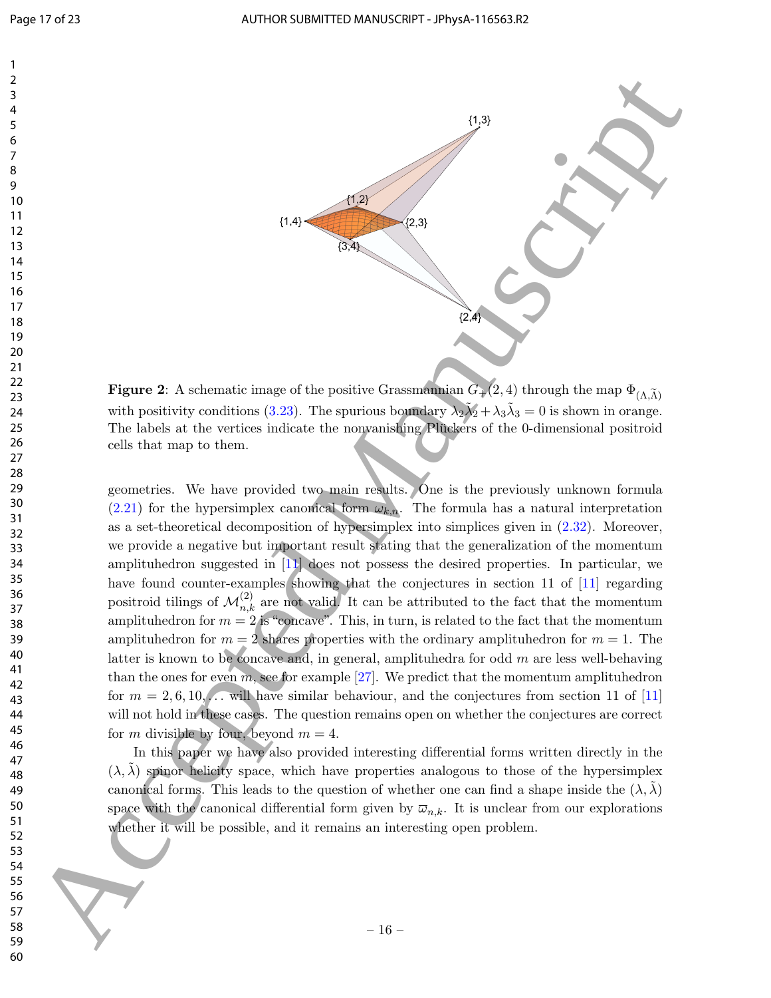

**Figure 2:** A schematic image of the positive Grassmannian  $G_{+}(2, 4)$  through the map  $\Phi_{(\Lambda,\widetilde{\Lambda})}$ with positivity conditions (3.23). The spurious boundary  $\lambda_2 \tilde{\lambda}_2 + \lambda_3 \tilde{\lambda}_3 = 0$  is shown in orange. The labels at the vertices indicate the nonvanishing Pluckers of the 0-dimensional positroid cells that map to them.

geometries. We have provided two main results. One is the previously unknown formula (2.21) for the hypersimplex canonical form  $\omega_{k,n}$ . The formula has a natural interpretation as a set-theoretical decomposition of hypersimplex into simplices given in (2.32). Moreover, we provide a negative but important result stating that the generalization of the momentum amplituhedron suggested in [11] does not possess the desired properties. In particular, we have found counter-examples showing that the conjectures in section 11 of [11] regarding positroid tilings of  $\mathcal{M}_{n,k}^{(2)}$  are not valid. It can be attributed to the fact that the momentum amplituhedron for  $m = 2$  is "concave". This, in turn, is related to the fact that the momentum amplituhedron for  $m = 2$  shares properties with the ordinary amplituhedron for  $m = 1$ . The latter is known to be concave and, in general, amplituhedra for odd  $m$  are less well-behaving than the ones for even  $m$ , see for example [27]. We predict that the momentum amplituhedron for  $m = 2, 6, 10, \ldots$  will have similar behaviour, and the conjectures from section 11 of [11] will not hold in these cases. The question remains open on whether the conjectures are correct for m divisible by four, beyond  $m = 4$ . 30 Accepted Manuscript (1988)<br>
1981 Manuscript (1988)<br>
1981 Manuscript (1988)<br>
1981 Manuscript (1988)<br>
1982 Manuscript (1988)<br>
1982 Manuscript (1988)<br>
1983 Manuscript (1988)<br>
1983 Manuscript (1988)<br>
1983 Manuscript (1988)

In this paper we have also provided interesting differential forms written directly in the  $(\lambda, \lambda)$  spinor helicity space, which have properties analogous to those of the hypersimplex canonical forms. This leads to the question of whether one can find a shape inside the  $(\lambda, \lambda)$ space with the canonical differential form given by  $\overline{\omega}_{n,k}$ . It is unclear from our explorations whether it will be possible, and it remains an interesting open problem.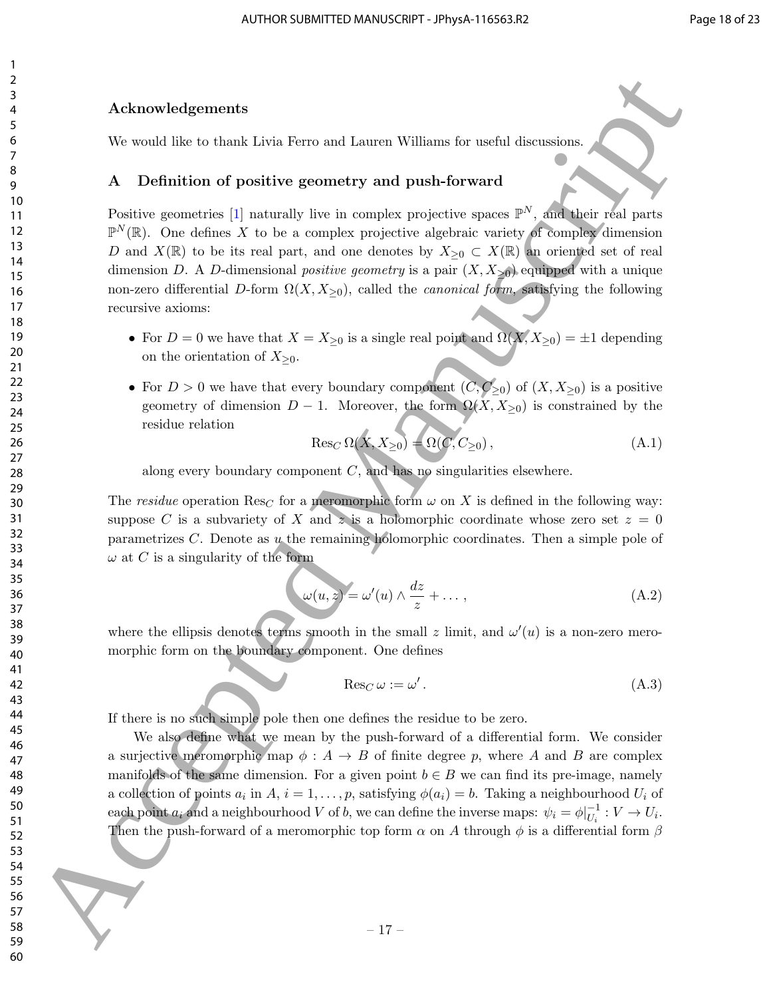#### Acknowledgements

We would like to thank Livia Ferro and Lauren Williams for useful discussions.

### A Definition of positive geometry and push-forward

Positive geometries [1] naturally live in complex projective spaces  $\mathbb{P}^N$ , and their real parts  $\mathbb{P}^N(\mathbb{R})$ . One defines X to be a complex projective algebraic variety of complex dimension D and  $X(\mathbb{R})$  to be its real part, and one denotes by  $X_{\geq 0} \subset X(\mathbb{R})$  an oriented set of real dimension D. A D-dimensional *positive geometry* is a pair  $(X, X_{\geq 0})$  equipped with a unique non-zero differential D-form  $\Omega(X, X_{\geq 0})$ , called the *canonical form*, satisfying the following recursive axioms: Acknowledgements<br>
So Acknowledgements<br>
We would like to that Livia Fero and Leuces Williams for useful discussions.<br>
No would like to the active descripted manuscripts and pair in control in the result of Nancy Privil gra

- For  $D = 0$  we have that  $X = X_{\geq 0}$  is a single real point and  $\Omega(X, X_{\geq 0}) = \pm 1$  depending on the orientation of  $X_{\geq 0}$ .
- For  $D > 0$  we have that every boundary component  $(\overline{C}, \overline{C}_{\geq 0})$  of  $(X, X_{\geq 0})$  is a positive geometry of dimension  $D-1$ . Moreover, the form  $\Omega(X, X_{\geq 0})$  is constrained by the residue relation

$$
\operatorname{Res}_C \Omega(X, X_{\geq 0}) = \Omega(C, C_{\geq 0}),\tag{A.1}
$$

along every boundary component  $C$ , and has no singularities elsewhere.

The residue operation Res<sub>C</sub> for a meromorphic form  $\omega$  on X is defined in the following way: suppose C is a subvariety of X and z is a holomorphic coordinate whose zero set  $z = 0$ parametrizes  $C$ . Denote as  $u$  the remaining holomorphic coordinates. Then a simple pole of  $\omega$  at C is a singularity of the form

$$
\omega(u,z) = \omega'(u) \wedge \frac{dz}{z} + \dots,
$$
\n(A.2)

where the ellipsis denotes terms smooth in the small z limit, and  $\omega'(u)$  is a non-zero meromorphic form on the boundary component. One defines

$$
\operatorname{Res}_C \omega := \omega' \,. \tag{A.3}
$$

If there is no such simple pole then one defines the residue to be zero.

We also define what we mean by the push-forward of a differential form. We consider a surjective meromorphic map  $\phi: A \to B$  of finite degree p, where A and B are complex manifolds of the same dimension. For a given point  $b \in B$  we can find its pre-image, namely a collection of points  $a_i$  in  $A, i = 1, \ldots, p$ , satisfying  $\phi(a_i) = b$ . Taking a neighbourhood  $U_i$  of each point  $a_i$  and a neighbourhood V of b, we can define the inverse maps:  $\psi_i = \phi|_{U_i}^{-1}$  $U_i^{-1}: V \to U_i.$ Then the push-forward of a meromorphic top form  $\alpha$  on A through  $\phi$  is a differential form  $\beta$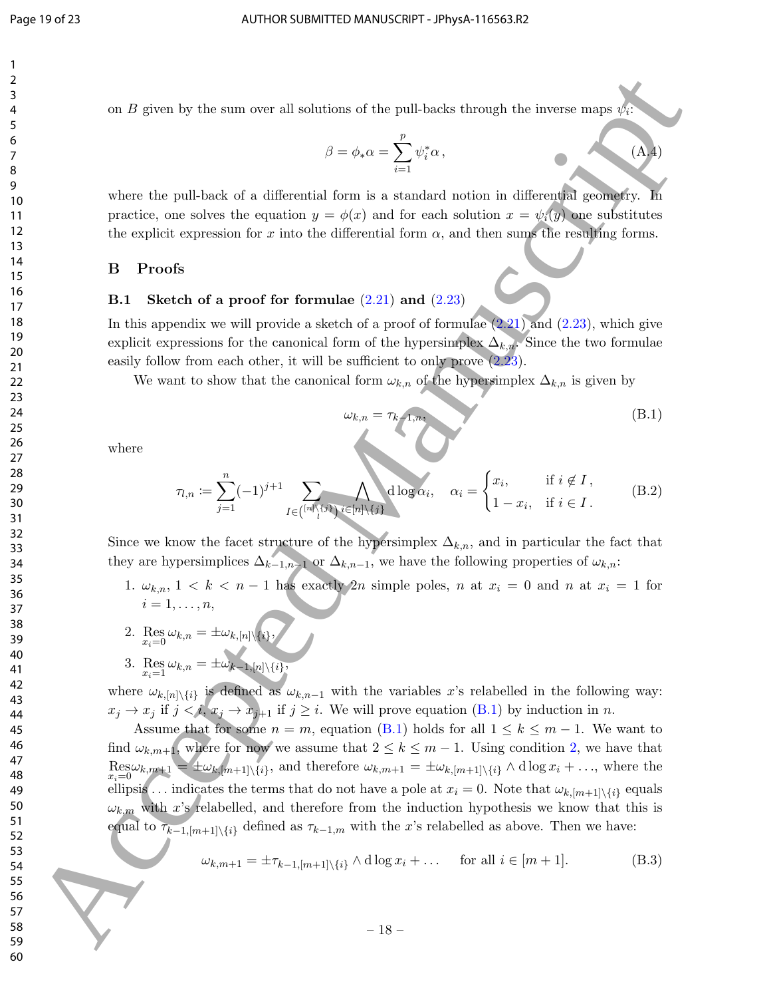$\beta = \phi_* \alpha = \sum$ 

p

 $\psi_i^*$ 

 $i=1$ 

on B given by the sum over all solutions of the pull-backs through the inverse maps  $\psi_i$ : where the pull-back of a differential form is a standard notion in differential geometry. In practice, one solves the equation  $y = \phi(x)$  and for each solution  $x = \psi_i(y)$  one substitutes the explicit expression for x into the differential form  $\alpha$ , and then sums the resulting forms. B Proofs

## **B.1** Sketch of a proof for formulae  $(2.21)$  and  $(2.23)$

In this appendix we will provide a sketch of a proof of formulae  $(2.21)$  and  $(2.23)$ , which give explicit expressions for the canonical form of the hypersimplex  $\Delta_{k,n}$ . Since the two formulae easily follow from each other, it will be sufficient to only prove  $(2.23)$ .

We want to show that the canonical form  $\omega_{k,n}$  of the hypersimplex  $\Delta_{k,n}$  is given by

$$
\omega_{k,n} = \tau_{k-1,n},\tag{B.1}
$$

 $(A.4)$ 

where

$$
\tau_{l,n} := \sum_{j=1}^{n} (-1)^{j+1} \sum_{I \in \binom{[n] \setminus \{j\}}{l}} \bigwedge_{i \in [n] \setminus \{j\}} \deg \alpha_i, \quad \alpha_i = \begin{cases} x_i, & \text{if } i \notin I, \\ 1 - x_i, & \text{if } i \in I. \end{cases} \tag{B.2}
$$

Since we know the facet structure of the hypersimplex  $\Delta_{k,n}$ , and in particular the fact that they are hypersimplices  $\Delta_{k-1,n-1}$  or  $\Delta_{k,n-1}$ , we have the following properties of  $\omega_{k,n}$ :

- 1.  $\omega_{k,n}$ ,  $1 \leq k \leq n-1$  has exactly 2n simple poles, n at  $x_i = 0$  and n at  $x_i = 1$  for  $i=1,\ldots,n,$
- 2.  $\operatorname*{Res}_{x_i=0} \omega_{k,n} = \pm \omega_{k,[n]\setminus\{i\}},$
- 3. Res  $\omega_{k,n} = \pm \omega_{k-1,[n]\setminus\{i\}}$ ,

where  $\omega_{k,[n]\setminus\{i\}}$  is defined as  $\omega_{k,n-1}$  with the variables x's relabelled in the following way:  $x_j \to x_j$  if  $j < i$ ,  $x_j \to x_{j+1}$  if  $j \geq i$ . We will prove equation (B.1) by induction in n.

Assume that for some  $n = m$ , equation (B.1) holds for all  $1 \leq k \leq m-1$ . We want to find  $\omega_{k,m+1}$ , where for now we assume that  $2 \leq k \leq m-1$ . Using condition 2, we have that  $\operatorname{Res}_{x_i=0} \omega_{k,m+1} = \pm \omega_{k,[m+1]\setminus\{i\}},$  and therefore  $\omega_{k,m+1} = \pm \omega_{k,[m+1]\setminus\{i\}} \wedge d \log x_i + \ldots$ , where the ellipsis ... indicates the terms that do not have a pole at  $x_i = 0$ . Note that  $\omega_{k,[m+1]\setminus\{i\}}$  equals  $\omega_{k,m}$  with x's relabelled, and therefore from the induction hypothesis we know that this is equal to  $\tau_{k-1,[m+1]\setminus\{i\}}$  defined as  $\tau_{k-1,m}$  with the x's relabelled as above. Then we have: For the probability of the probability of the probability interesting the forces and of the probability of the probability of the probability of the probability of the probability of the probability of the probability of

$$
\omega_{k,m+1} = \pm \tau_{k-1,[m+1]\setminus\{i\}} \wedge \mathrm{d}\log x_i + \dots \quad \text{for all } i \in [m+1]. \tag{B.3}
$$

– 18 –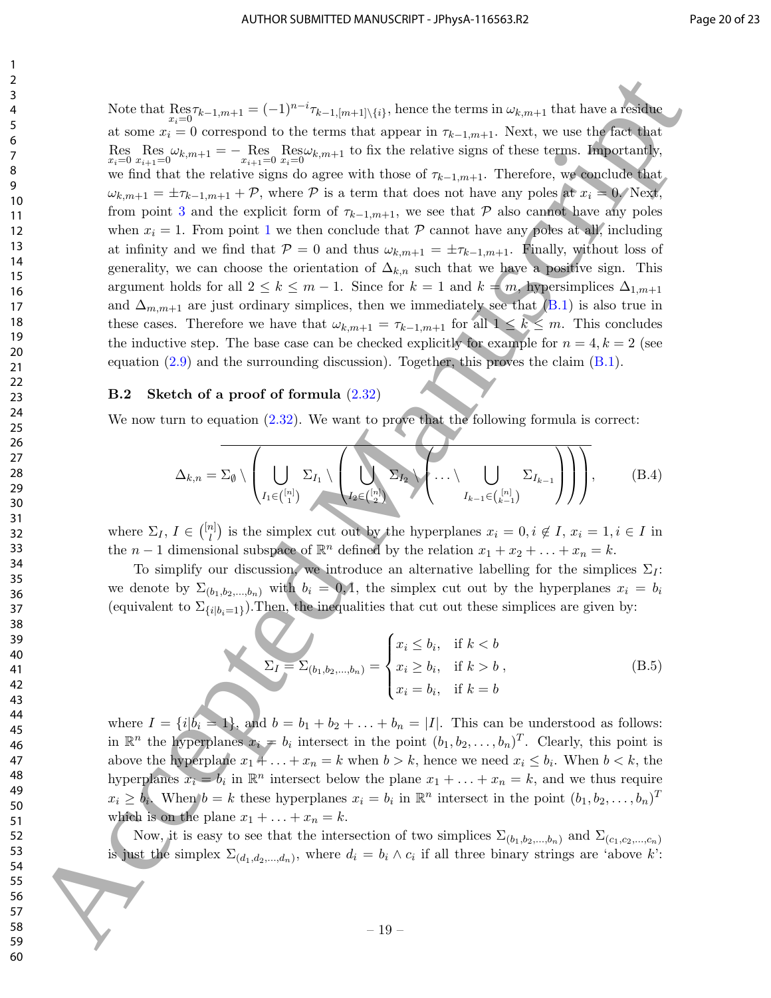Note that  $\text{Res}_{x_i=0} \tau_{k-1,m+1} = (-1)^{n-i} \tau_{k-1,[m+1]\setminus\{i\}},$  hence the terms in  $\omega_{k,m+1}$  that have a residue at some  $x_i = 0$  correspond to the terms that appear in  $\tau_{k-1,m+1}$ . Next, we use the fact that Res  $\mathop{\rm Res}_{x_i=0} \omega_{k,m+1} = -\mathop{\rm Res}_{x_{i+1}=0} \mathop{\rm Res}_{x_i=0} \omega_{k,m+1}$  to fix the relative signs of these terms. Importantly, we find that the relative signs do agree with those of  $\tau_{k-1,m+1}$ . Therefore, we conclude that  $\omega_{k,m+1} = \pm \tau_{k-1,m+1} + \mathcal{P}$ , where  $\mathcal P$  is a term that does not have any poles at  $x_i = 0$ . Next, from point 3 and the explicit form of  $\tau_{k-1,m+1}$ , we see that P also cannot have any poles when  $x_i = 1$ . From point 1 we then conclude that P cannot have any poles at all, including at infinity and we find that  $\mathcal{P} = 0$  and thus  $\omega_{k,m+1} = \pm \tau_{k-1,m+1}$ . Finally, without loss of generality, we can choose the orientation of  $\Delta_{k,n}$  such that we have a positive sign. This argument holds for all  $2 \leq k \leq m-1$ . Since for  $k = 1$  and  $k = m$ , hypersimplices  $\Delta_{1,m+1}$ and  $\Delta_{m,m+1}$  are just ordinary simplices, then we immediately see that (B.1) is also true in these cases. Therefore we have that  $\omega_{k,m+1} = \tau_{k-1,m+1}$  for all  $1 \leq k \leq m$ . This concludes the inductive step. The base case can be checked explicitly for example for  $n = 4, k = 2$  (see equation  $(2.9)$  and the surrounding discussion). Together, this proves the claim  $(B.1)$ . Active the Hermannic tractice interaction (i.e.,  $\frac{2}{3}$  Accepted Manuscriptic terms in the spectral formula (i.e.,  $\frac{1}{3}$  Accepted Manuscriptic Control interaction (i.e.,  $\frac{1}{3}$  Accepted Manuscriptic Control inte

#### B.2 Sketch of a proof of formula (2.32)

We now turn to equation  $(2.32)$ . We want to prove that the following formula is correct:

$$
\Delta_{k,n} = \Sigma_{\emptyset} \setminus \left( \bigcup_{I_1 \in \binom{[n]}{1}} \Sigma_{I_1} \setminus \left( \bigcup_{I_2 \in \binom{[n]}{2}} \Sigma_{I_2} \setminus \left( \dots \setminus \bigcup_{I_{k-1} \in \binom{[n]}{k-1}} \Sigma_{I_{k-1}} \right) \right) \right), \tag{B.4}
$$

where  $\Sigma_I, I \in \binom{[n]}{I}$  $\binom{n}{l}$  is the simplex cut out by the hyperplanes  $x_i = 0, i \notin I$ ,  $x_i = 1, i \in I$  in the  $n-1$  dimensional subspace of  $\mathbb{R}^n$  defined by the relation  $x_1 + x_2 + \ldots + x_n = k$ .

To simplify our discussion, we introduce an alternative labelling for the simplices  $\Sigma_I$ : we denote by  $\Sigma_{(b_1,b_2,...,b_n)}$  with  $b_i = 0,1$ , the simplex cut out by the hyperplanes  $x_i = b_i$ (equivalent to  $\Sigma_{\{i|b_i=1\}}$ ). Then, the inequalities that cut out these simplices are given by:

$$
\Sigma_{I} = \Sigma_{(b_{1},b_{2},...,b_{n})} = \begin{cases} x_{i} \leq b_{i}, & \text{if } k < b \\ x_{i} \geq b_{i}, & \text{if } k > b \\ x_{i} = b_{i}, & \text{if } k = b \end{cases}
$$
 (B.5)

where  $I = \{i | b_i = 1\}$ , and  $b = b_1 + b_2 + \ldots + b_n = |I|$ . This can be understood as follows: in  $\mathbb{R}^n$  the hyperplanes  $x_i = b_i$  intersect in the point  $(b_1, b_2, \ldots, b_n)^T$ . Clearly, this point is above the hyperplane  $x_1 + \ldots + x_n = k$  when  $b > k$ , hence we need  $x_i \leq b_i$ . When  $b < k$ , the hyperplanes  $x_i = b_i$  in  $\mathbb{R}^n$  intersect below the plane  $x_1 + \ldots + x_n = k$ , and we thus require  $x_i \ge b_i$ . When  $b = k$  these hyperplanes  $x_i = b_i$  in  $\mathbb{R}^n$  intersect in the point  $(b_1, b_2, \ldots, b_n)^T$ which is on the plane  $x_1 + \ldots + x_n = k$ .

Now, it is easy to see that the intersection of two simplices  $\Sigma_{(b_1,b_2,...,b_n)}$  and  $\Sigma_{(c_1,c_2,...,c_n)}$ is just the simplex  $\Sigma_{(d_1,d_2,...,d_n)}$ , where  $d_i = b_i \wedge c_i$  if all three binary strings are 'above k':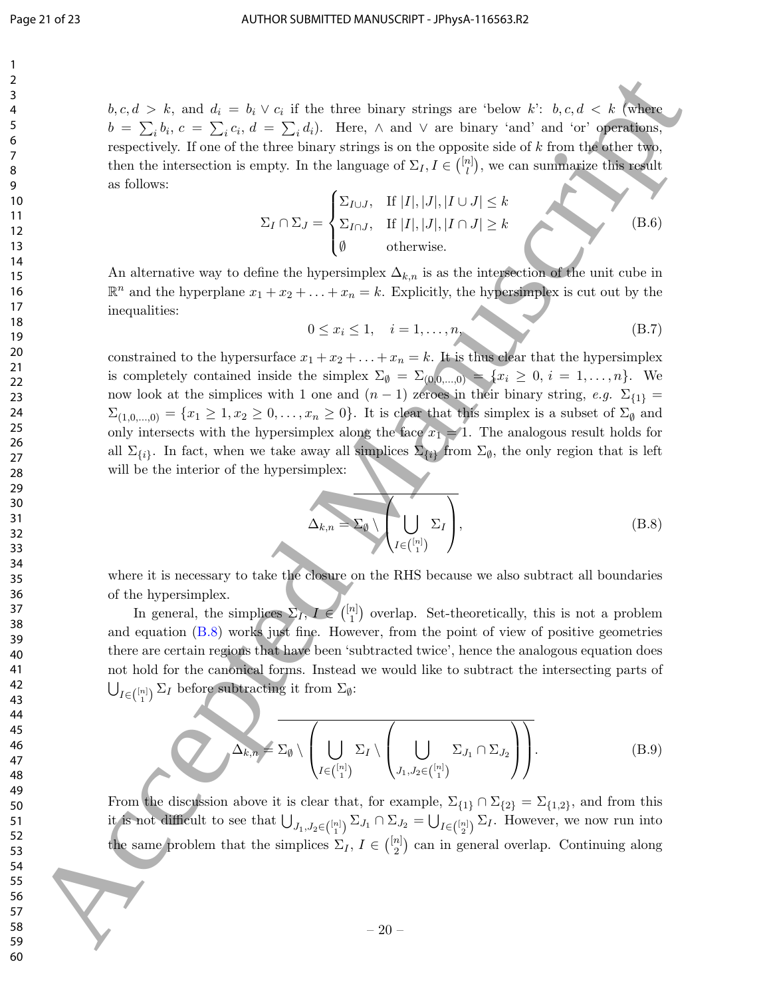$b, c, d > k$ , and  $d_i = b_i \vee c_i$  if the three binary strings are 'below k':  $b, c, d < k$  (where  $b = \sum_i b_i, c = \sum_i c_i, d = \sum_i d_i$ . Here,  $\wedge$  and  $\vee$  are binary 'and' and 'or' operations, respectively. If one of the three binary strings is on the opposite side of  $k$  from the other two, then the intersection is empty. In the language of  $\Sigma_I, I \in \binom{[n]}{I}$  $\binom{n}{l}$ , we can summarize this result as follows:

$$
\Sigma_I \cap \Sigma_J = \begin{cases} \Sigma_{I \cup J}, & \text{If } |I|, |J|, |I \cup J| \le k \\ \Sigma_{I \cap J}, & \text{If } |I|, |J|, |I \cap J| \ge k \\ \emptyset & \text{otherwise.} \end{cases}
$$
 (B.6)

An alternative way to define the hypersimplex  $\Delta_{k,n}$  is as the intersection of the unit cube in  $\mathbb{R}^n$  and the hyperplane  $x_1 + x_2 + \ldots + x_n = k$ . Explicitly, the hypersimplex is cut out by the inequalities:

$$
0 \le x_i \le 1, \quad i = 1, \dots, n,\tag{B.7}
$$

constrained to the hypersurface  $x_1 + x_2 + \ldots + x_n = k$ . It is thus clear that the hypersimplex is completely contained inside the simplex  $\Sigma_{\emptyset} = \Sigma_{(0,0,\dots,0)} = \{x_i \geq 0, i = 1,\dots,n\}$ . We now look at the simplices with 1 one and  $(n-1)$  zeroes in their binary string, e.g.  $\Sigma_{\{1\}} =$  $\Sigma_{(1,0,...,0)} = \{x_1 \geq 1, x_2 \geq 0, \ldots, x_n \geq 0\}.$  It is clear that this simplex is a subset of  $\Sigma_{\emptyset}$  and only intersects with the hypersimplex along the face  $x_1 = 1$ . The analogous result holds for all  $\Sigma_{\{i\}}$ . In fact, when we take away all simplices  $\Sigma_{\{i\}}$  from  $\Sigma_{\emptyset}$ , the only region that is left will be the interior of the hypersimplex: Accepted Manuscriptus and the state of the state of the state of the state of the state of the state of the state of the state of the state of the state of the state of the state of the state of the state of the state of

$$
\Delta_{k,n} = \Sigma_{\emptyset} \setminus \left(\bigcup_{I \in \binom{[n]}{1}} \Sigma_I\right),\tag{B.8}
$$

where it is necessary to take the closure on the RHS because we also subtract all boundaries of the hypersimplex.

In general, the simplices  $\Sigma_I, I \in \binom{[n]}{1}$  $\binom{n}{1}$  overlap. Set-theoretically, this is not a problem and equation (B.8) works just fine. However, from the point of view of positive geometries there are certain regions that have been 'subtracted twice', hence the analogous equation does not hold for the canonical forms. Instead we would like to subtract the intersecting parts of  $\bigcup_{I \in \binom{[n]}{\,1\,}} \Sigma_I$  before subtracting it from  $\Sigma_\emptyset$ :

$$
\Delta_{k,n} = \Sigma_{\emptyset} \setminus \left( \bigcup_{I \in \binom{[n]}{1}} \Sigma_I \setminus \left( \bigcup_{J_1, J_2 \in \binom{[n]}{1}} \Sigma_{J_1} \cap \Sigma_{J_2} \right) \right).
$$
(B.9)

From the discussion above it is clear that, for example,  $\Sigma_{\{1\}} \cap \Sigma_{\{2\}} = \Sigma_{\{1,2\}}$ , and from this it is not difficult to see that  $\bigcup_{J_1,J_2\in\binom{[n]}{1}}\Sigma_{J_1}\cap \Sigma_{J_2}=\bigcup_{I\in\binom{[n]}{2}}\Sigma_I$ . However, we now run into the same problem that the simplices  $\Sigma_I, I \in \binom{[n]}{2}$  $\binom{n}{2}$  can in general overlap. Continuing along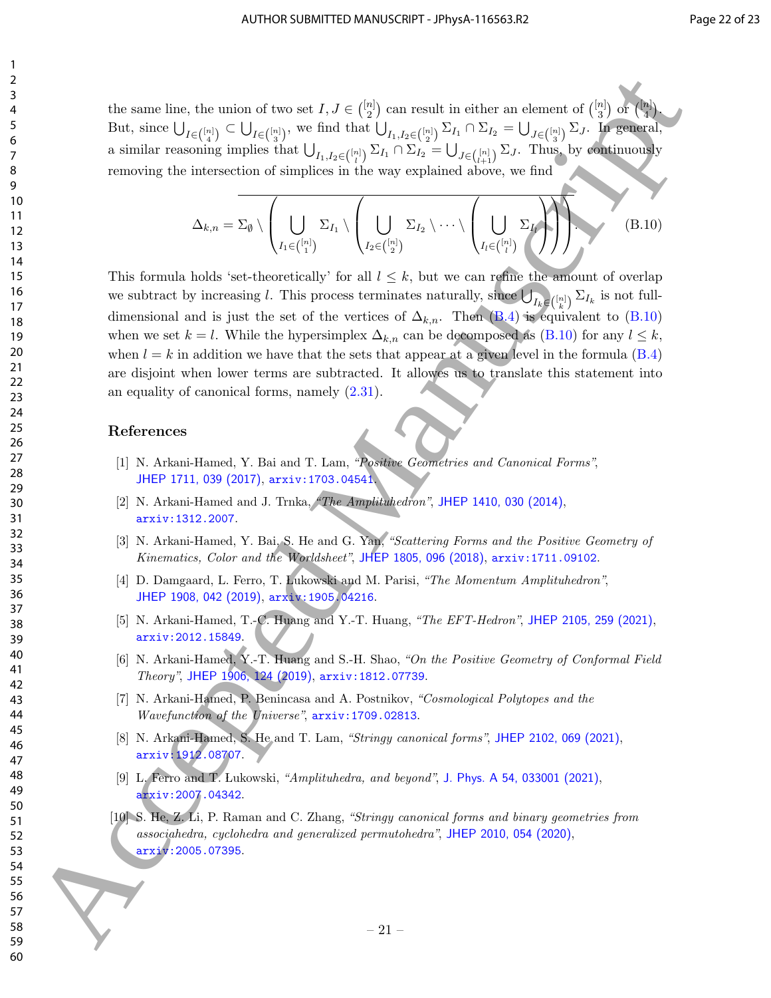the same line, the union of two set  $I, J \in \binom{[n]}{2}$  $\binom{n}{2}$  can result in either an element of  $\binom{[n]}{3}$  $\binom{n}{3}$  or  $\binom{[n]}{4}$ 4  $\mathcal{L}$ . But, since  $\bigcup_{I \in \binom{[n]}{4}} \subset \bigcup_{I \in \binom{[n]}{3}}$ , we find that  $\bigcup_{I_1, I_2 \in \binom{[n]}{2}} \Sigma_{I_1} \cap \Sigma_{I_2} = \bigcup_{J \in \binom{[n]}{3}} \Sigma_J$ . In general, a similar reasoning implies that  $\bigcup_{I_1,I_2\in\binom{[n]}{l}}\Sigma_{I_1}\cap \Sigma_{I_2}=\bigcup_{J\in\binom{[n]}{l+1}}\Sigma_J$ . Thus, by continuously removing the intersection of simplices in the way explained above, we find

$$
\Delta_{k,n} = \Sigma_{\emptyset} \setminus \left( \bigcup_{I_1 \in \binom{[n]}{1}} \Sigma_{I_1} \setminus \left( \bigcup_{I_2 \in \binom{[n]}{2}} \Sigma_{I_2} \setminus \cdots \setminus \left( \bigcup_{I_l \in \binom{[n]}{l}} \Sigma_{I_l} \right) \right) \right) \tag{B.10}
$$

This formula holds 'set-theoretically' for all  $l \leq k$ , but we can refine the amount of overlap we subtract by increasing l. This process terminates naturally, since  $\bigcup_{I_k\in\binom{[n]}{k}}\Sigma_{I_k}$  is not fulldimensional and is just the set of the vertices of  $\Delta_{k,n}$ . Then (B.4) is equivalent to (B.10) when we set  $k = l$ . While the hypersimplex  $\Delta_{k,n}$  can be decomposed as (B.10) for any  $l \leq k$ , when  $l = k$  in addition we have that the sets that appear at a given level in the formula (B.4) are disjoint when lower terms are subtracted. It allowes us to translate this statement into an equality of canonical forms, namely (2.31). 16 sam[e](http://arxiv.org/abs/1912.08707) freq [d](http://arxiv.org/abs/1905.04216)erivativeof two to  $f = \binom{6}{2}$ , one result in either originated of  $f(x)$  and  $f(x)$  and  $f(x)$  and  $f(x)$  and  $f(x)$  and  $f(x)$  and  $f(x)$  and  $f(x)$  and  $f(x)$  and  $f(x)$  and  $f(x)$  and  $f(x)$  and  $f(x)$  and  $f(x)$  an

#### References

- [1] N. Arkani-Hamed, Y. Bai and T. Lam, "Positive Geometries and Canonical Forms", JHEP 1711, 039 (2017), arxiv:1703.04541.
- [2] N. Arkani-Hamed and J. Trnka, "The Amplituhedron", JHEP 1410, 030 (2014), arxiv:1312.2007.
- [3] N. Arkani-Hamed, Y. Bai, S. He and G. Yan, "Scattering Forms and the Positive Geometry of Kinematics, Color and the Worldsheet", JHEP 1805, 096 (2018), arxiv:1711.09102.
- [4] D. Damgaard, L. Ferro, T. Lukowski and M. Parisi, "The Momentum Amplituhedron", JHEP 1908, 042 (2019), arxiv:1905.04216.
- [5] N. Arkani-Hamed, T.-C. Huang and Y.-T. Huang, "The EFT-Hedron", JHEP 2105, 259 (2021), arxiv:2012.15849.
- [6] N. Arkani-Hamed, Y.-T. Huang and S.-H. Shao, "On the Positive Geometry of Conformal Field Theory", JHEP 1906, 124 (2019), arxiv:1812.07739.
- [7] N. Arkani-Hamed, P. Benincasa and A. Postnikov, "Cosmological Polytopes and the Wavefunction of the Universe", arxiv:1709.02813.
- [8] N. Arkani-Hamed, S. He and T. Lam, "Stringy canonical forms", JHEP 2102, 069 (2021), arxiv:1912.08707.
- [9] L. Ferro and T. Lukowski, "Amplituhedra, and beyond", J. Phys. A 54, 033001 (2021), arxiv:2007.04342.
- [10] S. He, Z. Li, P. Raman and C. Zhang, "Stringy canonical forms and binary geometries from associahedra, cyclohedra and generalized permutohedra", JHEP 2010, 054 (2020), arxiv:2005.07395.